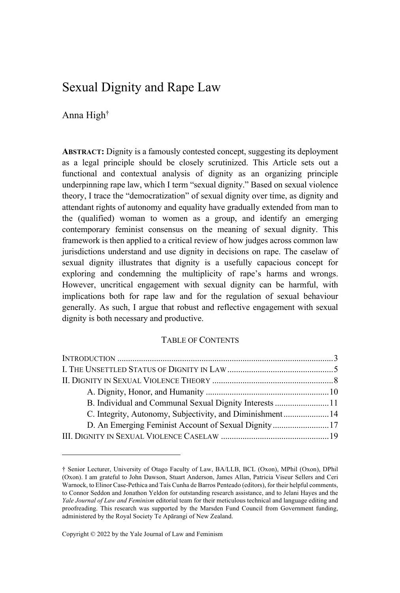# Sexual Dignity and Rape Law

Anna High†

**ABSTRACT:** Dignity is a famously contested concept, suggesting its deployment as a legal principle should be closely scrutinized. This Article sets out a functional and contextual analysis of dignity as an organizing principle underpinning rape law, which I term "sexual dignity." Based on sexual violence theory, I trace the "democratization" of sexual dignity over time, as dignity and attendant rights of autonomy and equality have gradually extended from man to the (qualified) woman to women as a group, and identify an emerging contemporary feminist consensus on the meaning of sexual dignity. This framework is then applied to a critical review of how judges across common law jurisdictions understand and use dignity in decisions on rape. The caselaw of sexual dignity illustrates that dignity is a usefully capacious concept for exploring and condemning the multiplicity of rape's harms and wrongs. However, uncritical engagement with sexual dignity can be harmful, with implications both for rape law and for the regulation of sexual behaviour generally. As such, I argue that robust and reflective engagement with sexual dignity is both necessary and productive.

# TABLE OF CONTENTS

| B. Individual and Communal Sexual Dignity Interests 11    |  |
|-----------------------------------------------------------|--|
| C. Integrity, Autonomy, Subjectivity, and Diminishment 14 |  |
| D. An Emerging Feminist Account of Sexual Dignity 17      |  |
|                                                           |  |

Copyright © 2022 by the Yale Journal of Law and Feminism

<sup>†</sup> Senior Lecturer, University of Otago Faculty of Law, BA/LLB, BCL (Oxon), MPhil (Oxon), DPhil (Oxon). I am grateful to John Dawson, Stuart Anderson, James Allan, Patricia Viseur Sellers and Ceri Warnock, to Elinor Case-Pethica and Taís Cunha de Barros Penteado (editors), for their helpful comments, to Connor Seddon and Jonathon Yeldon for outstanding research assistance, and to Jelani Hayes and the *Yale Journal of Law and Feminism* editorial team for their meticulous technical and language editing and proofreading. This research was supported by the Marsden Fund Council from Government funding, administered by the Royal Society Te Apārangi of New Zealand.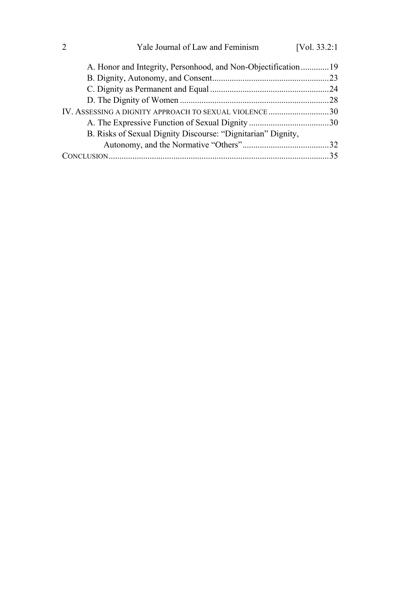| Yale Journal of Law and Feminism                              | [Vol. $33.2:1$ ] |
|---------------------------------------------------------------|------------------|
| A. Honor and Integrity, Personhood, and Non-Objectification19 |                  |
|                                                               |                  |
|                                                               |                  |
|                                                               |                  |
| IV. ASSESSING A DIGNITY APPROACH TO SEXUAL VIOLENCE30         |                  |
|                                                               |                  |
| B. Risks of Sexual Dignity Discourse: "Dignitarian" Dignity,  |                  |
|                                                               |                  |
|                                                               |                  |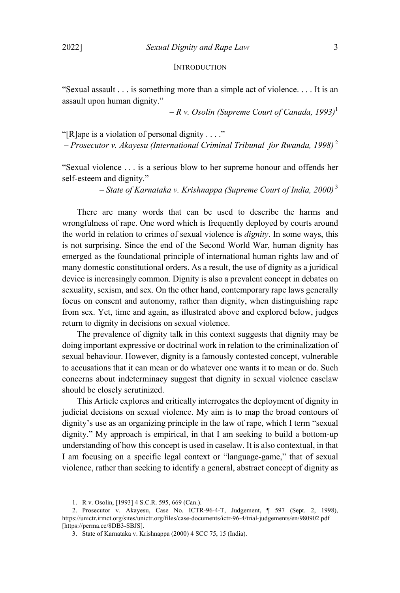#### **INTRODUCTION**

"Sexual assault . . . is something more than a simple act of violence. . . . It is an assault upon human dignity."

 $-Rv$ . *Osolin* (Supreme Court of Canada, 1993)<sup>1</sup>

"[R]ape is a violation of personal dignity . . . ."

– *Prosecutor v. Akayesu (International Criminal Tribunal for Rwanda, 1998)* <sup>2</sup>

"Sexual violence . . . is a serious blow to her supreme honour and offends her self-esteem and dignity."

– *State of Karnataka v. Krishnappa (Supreme Court of India, 2000)* <sup>3</sup>

There are many words that can be used to describe the harms and wrongfulness of rape. One word which is frequently deployed by courts around the world in relation to crimes of sexual violence is *dignity*. In some ways, this is not surprising. Since the end of the Second World War, human dignity has emerged as the foundational principle of international human rights law and of many domestic constitutional orders. As a result, the use of dignity as a juridical device is increasingly common. Dignity is also a prevalent concept in debates on sexuality, sexism, and sex. On the other hand, contemporary rape laws generally focus on consent and autonomy, rather than dignity, when distinguishing rape from sex. Yet, time and again, as illustrated above and explored below, judges return to dignity in decisions on sexual violence.

The prevalence of dignity talk in this context suggests that dignity may be doing important expressive or doctrinal work in relation to the criminalization of sexual behaviour. However, dignity is a famously contested concept, vulnerable to accusations that it can mean or do whatever one wants it to mean or do. Such concerns about indeterminacy suggest that dignity in sexual violence caselaw should be closely scrutinized.

This Article explores and critically interrogates the deployment of dignity in judicial decisions on sexual violence. My aim is to map the broad contours of dignity's use as an organizing principle in the law of rape, which I term "sexual dignity." My approach is empirical, in that I am seeking to build a bottom-up understanding of how this concept is used in caselaw. It is also contextual, in that I am focusing on a specific legal context or "language-game," that of sexual violence, rather than seeking to identify a general, abstract concept of dignity as

<sup>1.</sup> R v. Osolin, [1993] 4 S.C.R. 595, 669 (Can.).

<sup>2.</sup> Prosecutor v. Akayesu, Case No. ICTR-96-4-T, Judgement, ¶ 597 (Sept. 2, 1998), https://unictr.irmct.org/sites/unictr.org/files/case-documents/ictr-96-4/trial-judgements/en/980902.pdf [https://perma.cc/8DB3-SBJS].

<sup>3.</sup> State of Karnataka v. Krishnappa (2000) 4 SCC 75, 15 (India).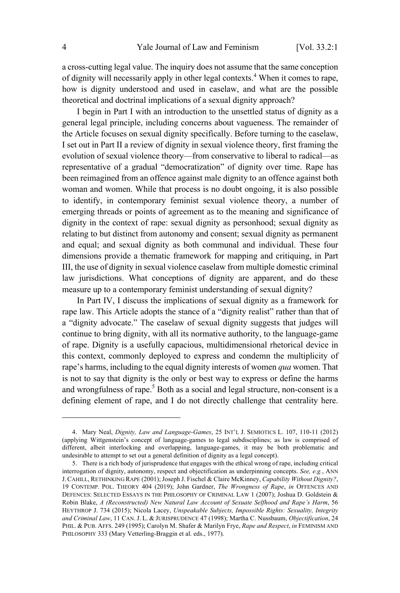a cross-cutting legal value. The inquiry does not assume that the same conception of dignity will necessarily apply in other legal contexts. <sup>4</sup> When it comes to rape, how is dignity understood and used in caselaw, and what are the possible theoretical and doctrinal implications of a sexual dignity approach?

I begin in Part I with an introduction to the unsettled status of dignity as a general legal principle, including concerns about vagueness. The remainder of the Article focuses on sexual dignity specifically. Before turning to the caselaw, I set out in Part II a review of dignity in sexual violence theory, first framing the evolution of sexual violence theory—from conservative to liberal to radical—as representative of a gradual "democratization" of dignity over time. Rape has been reimagined from an offence against male dignity to an offence against both woman and women. While that process is no doubt ongoing, it is also possible to identify, in contemporary feminist sexual violence theory, a number of emerging threads or points of agreement as to the meaning and significance of dignity in the context of rape: sexual dignity as personhood; sexual dignity as relating to but distinct from autonomy and consent; sexual dignity as permanent and equal; and sexual dignity as both communal and individual. These four dimensions provide a thematic framework for mapping and critiquing, in Part III, the use of dignity in sexual violence caselaw from multiple domestic criminal law jurisdictions. What conceptions of dignity are apparent, and do these measure up to a contemporary feminist understanding of sexual dignity?

In Part IV, I discuss the implications of sexual dignity as a framework for rape law. This Article adopts the stance of a "dignity realist" rather than that of a "dignity advocate." The caselaw of sexual dignity suggests that judges will continue to bring dignity, with all its normative authority, to the language-game of rape. Dignity is a usefully capacious, multidimensional rhetorical device in this context, commonly deployed to express and condemn the multiplicity of rape's harms, including to the equal dignity interests of women *qua* women. That is not to say that dignity is the only or best way to express or define the harms and wrongfulness of rape.<sup>5</sup> Both as a social and legal structure, non-consent is a defining element of rape, and I do not directly challenge that centrality here.

<sup>4.</sup> Mary Neal, *Dignity, Law and Language-Games*, 25 INT'<sup>L</sup> J. SEMIOTICS L. 107, 110-11 (2012) (applying Wittgenstein's concept of language-games to legal subdisciplines; as law is comprised of different, albeit interlocking and overlapping, language-games, it may be both problematic and undesirable to attempt to set out a general definition of dignity as a legal concept).

<sup>5.</sup> There is a rich body of jurisprudence that engages with the ethical wrong of rape, including critical interrogation of dignity, autonomy, respect and objectification as underpinning concepts. *See, e.g.*, ANN J. CAHILL, RETHINKING RAPE (2001); Joseph J. Fischel & Claire McKinney, *Capability Without Dignity?*, 19 CONTEMP. POL. THEORY 404 (2019); John Gardner, *The Wrongness of Rape*, *in* OFFENCES AND DEFENCES: SELECTED ESSAYS IN THE PHILOSOPHY OF CRIMINAL LAW 1 (2007); Joshua D. Goldstein & Robin Blake, *A (Reconstructed) New Natural Law Account of Sexuate Selfhood and Rape's Harm*, 56 HEYTHROP J. 734 (2015); Nicola Lacey, *Unspeakable Subjects, Impossible Rights: Sexuality, Integrity and Criminal Law*, 11 CAN. J. L. & JURISPRUDENCE 47 (1998); Martha C. Nussbaum, *Objectification*, 24 PHIL. & PUB. AFFS. 249 (1995); Carolyn M. Shafer & Marilyn Frye, *Rape and Respect*, *in* FEMINISM AND PHILOSOPHY 333 (Mary Vetterling-Braggin et al. eds., 1977).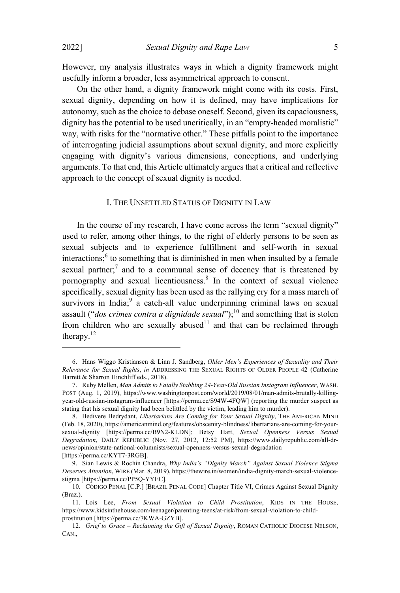However, my analysis illustrates ways in which a dignity framework might usefully inform a broader, less asymmetrical approach to consent.

On the other hand, a dignity framework might come with its costs. First, sexual dignity, depending on how it is defined, may have implications for autonomy, such as the choice to debase oneself. Second, given its capaciousness, dignity has the potential to be used uncritically, in an "empty-headed moralistic" way, with risks for the "normative other." These pitfalls point to the importance of interrogating judicial assumptions about sexual dignity, and more explicitly engaging with dignity's various dimensions, conceptions, and underlying arguments. To that end, this Article ultimately argues that a critical and reflective approach to the concept of sexual dignity is needed.

# I. THE UNSETTLED STATUS OF DIGNITY IN LAW

In the course of my research, I have come across the term "sexual dignity" used to refer, among other things, to the right of elderly persons to be seen as sexual subjects and to experience fulfillment and self-worth in sexual interactions:  $6$  to something that is diminished in men when insulted by a female sexual partner:<sup>7</sup> and to a communal sense of decency that is threatened by pornography and sexual licentiousness.<sup>8</sup> In the context of sexual violence specifically, sexual dignity has been used as the rallying cry for a mass march of  $s$ urvivors in India:<sup>9</sup> a catch-all value underpinning criminal laws on sexual assault ("*dos crimes contra a dignidade sexual*"); <sup>10</sup> and something that is stolen from children who are sexually abused $11$  and that can be reclaimed through therapy.<sup>12</sup>

<sup>6.</sup> Hans Wiggo Kristiansen & Linn J. Sandberg, *Older Men's Experiences of Sexuality and Their Relevance for Sexual Rights*, *in* ADDRESSING THE SEXUAL RIGHTS OF OLDER PEOPLE 42 (Catherine Barrett & Sharron Hinchliff eds., 2018).

<sup>7.</sup> Ruby Mellen, *Man Admits to Fatally Stabbing 24-Year-Old Russian Instagram Influencer*, WASH. POST (Aug. 1, 2019), https://www.washingtonpost.com/world/2019/08/01/man-admits-brutally-killingyear-old-russian-instagram-influencer [https://perma.cc/S94W-4FQW] (reporting the murder suspect as stating that his sexual dignity had been belittled by the victim, leading him to murder).

<sup>8.</sup> Bedivere Bedrydant, *Libertarians Are Coming for Your Sexual Dignity*, THE AMERICAN MIND (Feb. 18, 2020), https://americanmind.org/features/obscenity-blindness/libertarians-are-coming-for-yoursexual-dignity [https://perma.cc/B9N2-KLDN]; Betsy Hart, *Sexual Openness Versus Sexual Degradation*, DAILY REPUBLIC (Nov. 27, 2012, 12:52 PM), https://www.dailyrepublic.com/all-drnews/opinion/state-national-columnists/sexual-openness-versus-sexual-degradation [https://perma.cc/KYT7-3RGB].

<sup>9.</sup> Sian Lewis & Rochin Chandra, *Why India's "Dignity March" Against Sexual Violence Stigma Deserves Attention*, WIRE (Mar. 8, 2019), https://thewire.in/women/india-dignity-march-sexual-violencestigma [https://perma.cc/PP5Q-YYEC].

<sup>10.</sup> CÓDIGO PENAL [C.P.] [BRAZIL PENAL CODE] Chapter Title VI, Crimes Against Sexual Dignity (Braz.).

<sup>11.</sup> Lois Lee, *From Sexual Violation to Child Prostitution*, KIDS IN THE HOUSE, https://www.kidsinthehouse.com/teenager/parenting-teens/at-risk/from-sexual-violation-to-childprostitution [https://perma.cc/7KWA-GZYB].

<sup>12</sup>*. Grief to Grace – Reclaiming the Gift of Sexual Dignity*, ROMAN CATHOLIC DIOCESE NELSON, CAN.,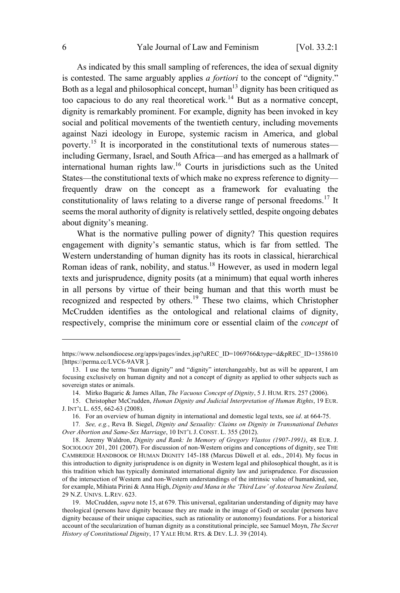As indicated by this small sampling of references, the idea of sexual dignity is contested. The same arguably applies *a fortiori* to the concept of "dignity." Both as a legal and philosophical concept, human<sup>13</sup> dignity has been critiqued as too capacious to do any real theoretical work.<sup>14</sup> But as a normative concept, dignity is remarkably prominent. For example, dignity has been invoked in key social and political movements of the twentieth century, including movements against Nazi ideology in Europe, systemic racism in America, and global poverty.<sup>15</sup> It is incorporated in the constitutional texts of numerous states including Germany, Israel, and South Africa—and has emerged as a hallmark of international human rights law. <sup>16</sup> Courts in jurisdictions such as the United States—the constitutional texts of which make no express reference to dignity frequently draw on the concept as a framework for evaluating the constitutionality of laws relating to a diverse range of personal freedoms.<sup>17</sup> It seems the moral authority of dignity is relatively settled, despite ongoing debates about dignity's meaning.

What is the normative pulling power of dignity? This question requires engagement with dignity's semantic status, which is far from settled. The Western understanding of human dignity has its roots in classical, hierarchical Roman ideas of rank, nobility, and status.<sup>18</sup> However, as used in modern legal texts and jurisprudence, dignity posits (at a minimum) that equal worth inheres in all persons by virtue of their being human and that this worth must be recognized and respected by others.<sup>19</sup> These two claims, which Christopher McCrudden identifies as the ontological and relational claims of dignity, respectively, comprise the minimum core or essential claim of the *concept* of

https://www.nelsondiocese.org/apps/pages/index.jsp?uREC\_ID=1069766&type=d&pREC\_ID=1358610 [https://perma.cc/LVC6-9AVR].

<sup>13.</sup> I use the terms "human dignity" and "dignity" interchangeably, but as will be apparent, I am focusing exclusively on human dignity and not a concept of dignity as applied to other subjects such as sovereign states or animals.

<sup>14.</sup> Mirko Bagaric & James Allan, *The Vacuous Concept of Dignity*, 5 J. HUM. RTS. 257 (2006).

<sup>15.</sup> Christopher McCrudden, *Human Dignity and Judicial Interpretation of Human Rights*, 19 EUR. J. INT'<sup>L</sup> L. 655, 662-63 (2008).

<sup>16.</sup> For an overview of human dignity in international and domestic legal texts, see *id*. at 664-75.

<sup>17</sup>*. See, e.g.*, Reva B. Siegel, *Dignity and Sexuality: Claims on Dignity in Transnational Debates Over Abortion and Same-Sex Marriage*, 10 INT'<sup>L</sup> J. CONST. L. 355 (2012).

<sup>18.</sup> Jeremy Waldron, *Dignity and Rank: In Memory of Gregory Vlastos (1907-1991)*, 48 EUR. J. SOCIOLOGY 201, 201 (2007). For discussion of non-Western origins and conceptions of dignity, see THE CAMBRIDGE HANDBOOK OF HUMAN DIGNITY 145-188 (Marcus Düwell et al. eds., 2014). My focus in this introduction to dignity jurisprudence is on dignity in Western legal and philosophical thought, as it is this tradition which has typically dominated international dignity law and jurisprudence. For discussion of the intersection of Western and non-Western understandings of the intrinsic value of humankind, see, for example, Mihiata Pirini & Anna High, *Dignity and Mana in the 'Third Law' of Aotearoa New Zealand,* 29 N.Z. UNIVS. L.REV. 623.

<sup>19.</sup> McCrudden, *supra* note 15, at 679. This universal, egalitarian understanding of dignity may have theological (persons have dignity because they are made in the image of God) or secular (persons have dignity because of their unique capacities, such as rationality or autonomy) foundations. For a historical account of the secularization of human dignity as a constitutional principle, see Samuel Moyn, *The Secret History of Constitutional Dignity*, 17 YALE HUM. RTS. & DEV. L.J. 39 (2014).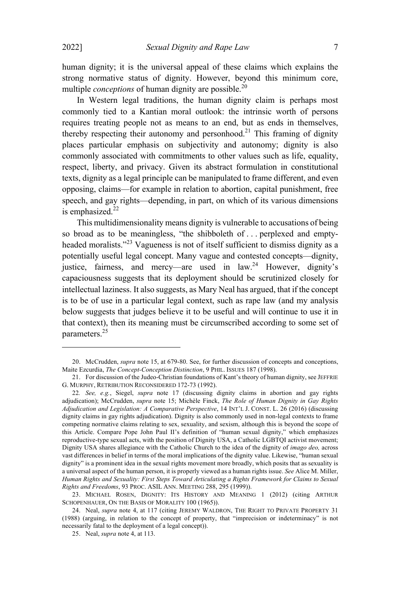human dignity; it is the universal appeal of these claims which explains the strong normative status of dignity. However, beyond this minimum core, multiple *conceptions* of human dignity are possible. 20

In Western legal traditions, the human dignity claim is perhaps most commonly tied to a Kantian moral outlook: the intrinsic worth of persons requires treating people not as means to an end, but as ends in themselves, thereby respecting their autonomy and personhood.<sup>21</sup> This framing of dignity places particular emphasis on subjectivity and autonomy; dignity is also commonly associated with commitments to other values such as life, equality, respect, liberty, and privacy. Given its abstract formulation in constitutional texts, dignity as a legal principle can be manipulated to frame different, and even opposing, claims—for example in relation to abortion, capital punishment, free speech, and gay rights—depending, in part, on which of its various dimensions is emphasized.<sup>22</sup>

This multidimensionality means dignity is vulnerable to accusations of being so broad as to be meaningless, "the shibboleth of . . . perplexed and emptyheaded moralists."<sup>23</sup> Vagueness is not of itself sufficient to dismiss dignity as a potentially useful legal concept. Many vague and contested concepts—dignity, iustice, fairness, and mercy—are used in law.<sup>24</sup> However, dignity's capaciousness suggests that its deployment should be scrutinized closely for intellectual laziness. It also suggests, as Mary Neal has argued, that if the concept is to be of use in a particular legal context, such as rape law (and my analysis below suggests that judges believe it to be useful and will continue to use it in that context), then its meaning must be circumscribed according to some set of parameters.<sup>25</sup>

<sup>20.</sup> McCrudden, *supra* note 15, at 679-80. See, for further discussion of concepts and conceptions, Maite Ezcurdia, *The Concept-Conception Distinction*, 9 PHIL. ISSUES 187 (1998).

<sup>21.</sup> For discussion of the Judeo-Christian foundations of Kant's theory of human dignity, see JEFFRIE G. MURPHY, RETRIBUTION RECONSIDERED 172-73 (1992).

<sup>22</sup>*. See, e.g.*, Siegel, *supra* note 17 (discussing dignity claims in abortion and gay rights adjudication); McCrudden, *supra* note 15; Michèle Finck, *The Role of Human Dignity in Gay Rights Adjudication and Legislation: A Comparative Perspective*, 14 INT'<sup>L</sup> J. CONST. L. 26 (2016) (discussing dignity claims in gay rights adjudication). Dignity is also commonly used in non-legal contexts to frame competing normative claims relating to sex, sexuality, and sexism, although this is beyond the scope of this Article. Compare Pope John Paul II's definition of "human sexual dignity," which emphasizes reproductive-type sexual acts, with the position of Dignity USA, a Catholic LGBTQI activist movement; Dignity USA shares allegiance with the Catholic Church to the idea of the dignity of *imago deo,* across vast differences in belief in terms of the moral implications of the dignity value. Likewise, "human sexual dignity" is a prominent idea in the sexual rights movement more broadly, which posits that as sexuality is a universal aspect of the human person, it is properly viewed as a human rights issue. *See* Alice M. Miller, *Human Rights and Sexuality: First Steps Toward Articulating a Rights Framework for Claims to Sexual Rights and Freedoms*, 93 PROC. ASIL ANN. MEETING 288, 295 (1999)).

<sup>23.</sup> MICHAEL ROSEN, DIGNITY: ITS HISTORY AND MEANING 1 (2012) (citing ARTHUR SCHOPENHAUER, O<sup>N</sup> THE BASIS OF MORALITY 100 (1965)).

<sup>24.</sup> Neal, *supra* note 4, at 117 (citing JEREMY WALDRON, THE RIGHT TO PRIVATE PROPERTY 31 (1988) (arguing, in relation to the concept of property, that "imprecision or indeterminacy" is not necessarily fatal to the deployment of a legal concept)).

<sup>25.</sup> Neal, *supra* note 4, at 113.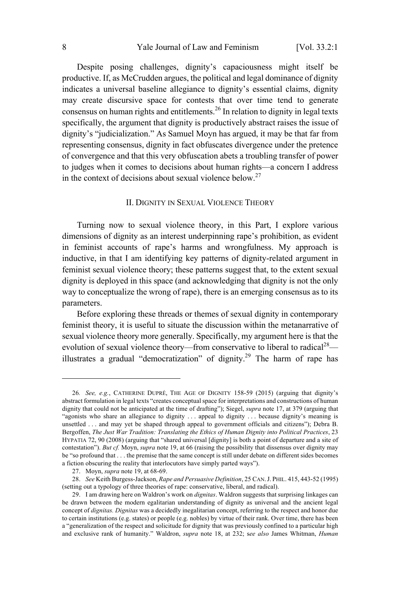Despite posing challenges, dignity's capaciousness might itself be productive. If, as McCrudden argues, the political and legal dominance of dignity indicates a universal baseline allegiance to dignity's essential claims, dignity may create discursive space for contests that over time tend to generate consensus on human rights and entitlements.<sup>26</sup> In relation to dignity in legal texts specifically, the argument that dignity is productively abstract raises the issue of dignity's "judicialization." As Samuel Moyn has argued, it may be that far from representing consensus, dignity in fact obfuscates divergence under the pretence of convergence and that this very obfuscation abets a troubling transfer of power to judges when it comes to decisions about human rights—a concern I address in the context of decisions about sexual violence below.<sup>27</sup>

# II. DIGNITY IN SEXUAL VIOLENCE THEORY

Turning now to sexual violence theory, in this Part, I explore various dimensions of dignity as an interest underpinning rape's prohibition, as evident in feminist accounts of rape's harms and wrongfulness. My approach is inductive, in that I am identifying key patterns of dignity-related argument in feminist sexual violence theory; these patterns suggest that, to the extent sexual dignity is deployed in this space (and acknowledging that dignity is not the only way to conceptualize the wrong of rape), there is an emerging consensus as to its parameters.

Before exploring these threads or themes of sexual dignity in contemporary feminist theory, it is useful to situate the discussion within the metanarrative of sexual violence theory more generally. Specifically, my argument here is that the evolution of sexual violence theory—from conservative to liberal to radical<sup>28</sup> illustrates a gradual "democratization" of dignity.<sup>29</sup> The harm of rape has

<sup>26</sup>*. See, e.g.*, CATHERINE DUPRÉ, THE AGE OF DIGNITY 158-59 (2015) (arguing that dignity's abstract formulation in legal texts "creates conceptualspace for interpretations and constructions of human dignity that could not be anticipated at the time of drafting"); Siegel, *supra* note 17, at 379 (arguing that "agonists who share an allegiance to dignity . . . appeal to dignity . . . because dignity's meaning is unsettled . . . and may yet be shaped through appeal to government officials and citizens"); Debra B. Bergoffen, *The Just War Tradition: Translating the Ethics of Human Dignity into Political Practices*, 23 HYPATIA 72, 90 (2008) (arguing that "shared universal [dignity] is both a point of departure and a site of contestation"). *But cf.* Moyn, *supra* note 19, at 66 (raising the possibility that dissensus over dignity may be "so profound that . . . the premise that the same concept is still under debate on different sides becomes a fiction obscuring the reality that interlocutors have simply parted ways").

<sup>27.</sup> Moyn, *supra* note 19, at 68-69.

<sup>28.</sup> *See* Keith Burgess-Jackson, *Rape and Persuasive Definition*, 25 CAN.J. PHIL. 415, 443-52 (1995) (setting out a typology of three theories of rape: conservative, liberal, and radical).

<sup>29.</sup> I am drawing here on Waldron's work on *dignitas*. Waldron suggests that surprising linkages can be drawn between the modern egalitarian understanding of dignity as universal and the ancient legal concept of *dignitas. Dignitas* was a decidedly inegalitarian concept, referring to the respect and honor due to certain institutions (e.g. states) or people (e.g. nobles) by virtue of their rank. Over time, there has been a "generalization of the respect and solicitude for dignity that was previously confined to a particular high and exclusive rank of humanity." Waldron, *supra* note 18, at 232; s*ee also* James Whitman, *Human*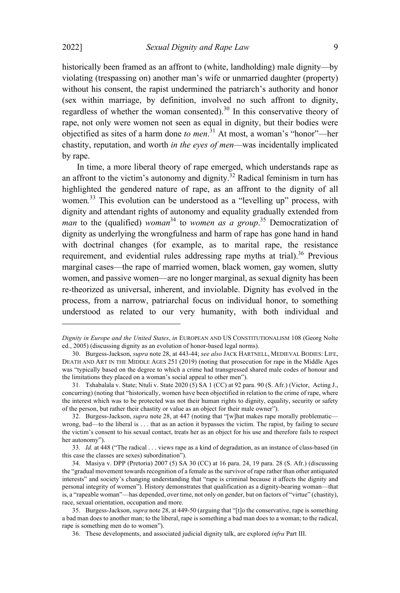historically been framed as an affront to (white, landholding) male dignity—by violating (trespassing on) another man's wife or unmarried daughter (property) without his consent, the rapist undermined the patriarch's authority and honor (sex within marriage, by definition, involved no such affront to dignity, regardless of whether the woman consented).<sup>30</sup> In this conservative theory of rape, not only were women not seen as equal in dignity, but their bodies were objectified as sites of a harm done *to men*. <sup>31</sup> At most, a woman's "honor"—her chastity, reputation, and worth *in the eyes of men*—was incidentally implicated by rape.

In time, a more liberal theory of rape emerged, which understands rape as an affront to the victim's autonomy and dignity.<sup>32</sup> Radical feminism in turn has highlighted the gendered nature of rape, as an affront to the dignity of all women*.* <sup>33</sup> This evolution can be understood as a "levelling up" process, with dignity and attendant rights of autonomy and equality gradually extended from *man* to the (qualified) *woman* <sup>34</sup> to *women as <sup>a</sup> group*. <sup>35</sup> Democratization of dignity as underlying the wrongfulness and harm of rape has gone hand in hand with doctrinal changes (for example, as to marital rape, the resistance requirement, and evidential rules addressing rape myths at trial).<sup>36</sup> Previous marginal cases—the rape of married women, black women, gay women, slutty women, and passive women—are no longer marginal, as sexual dignity has been re-theorized as universal, inherent, and inviolable. Dignity has evolved in the process, from a narrow, patriarchal focus on individual honor, to something understood as related to our very humanity, with both individual and

*Dignity in Europe and the United States*, *in* EUROPEAN AND US CONSTITUTIONALISM 108 (Georg Nolte ed., 2005) (discussing dignity as an evolution of honor-based legal norms).

<sup>30.</sup> Burgess-Jackson, *supra* note 28, at 443-44; *see also* JACK HARTNELL, MEDIEVAL BODIES: LIFE, DEATH AND ART IN THE MIDDLE AGES 251 (2019) (noting that prosecution for rape in the Middle Ages was "typically based on the degree to which a crime had transgressed shared male codes of honour and the limitations they placed on a woman's social appeal to other men").

<sup>31</sup>*.* Tshabalala v. State; Ntuli v. State 2020 (5) SA 1 (CC) at 92 para. 90 (S. Afr.) (Victor, Acting J., concurring) (noting that "historically, women have been objectified in relation to the crime of rape, where the interest which was to be protected was not their human rights to dignity, equality, security or safety of the person, but rather their chastity or value as an object for their male owner").

<sup>32.</sup> Burgess-Jackson, *supra* note 28, at 447 (noting that "[w]hat makes rape morally problematic wrong, bad—to the liberal is . . . that as an action it bypasses the victim. The rapist, by failing to secure the victim's consent to his sexual contact, treats her as an object for his use and therefore fails to respect her autonomy").

<sup>33</sup>*. Id.* at 448 ("The radical . . . views rape as a kind of degradation, as an instance of class-based (in this case the classes are sexes) subordination").

<sup>34</sup>*.* Masiya v. DPP (Pretoria) 2007 (5) SA 30 (CC) at 16 para. 24, 19 para. 28 (S. Afr.) (discussing the "gradual movement towards recognition of a female as the survivor of rape rather than other antiquated interests" and society's changing understanding that "rape is criminal because it affects the dignity and personal integrity of women"). History demonstrates that qualification as a dignity-bearing woman—that is, a "rapeable woman"—has depended, over time, not only on gender, but on factors of "virtue" (chastity), race, sexual orientation, occupation and more.

<sup>35.</sup> Burgess-Jackson, *supra* note 28, at 449-50 (arguing that "[t]o the conservative, rape is something a bad man does to another man; to the liberal, rape is something a bad man does to a woman; to the radical, rape is something men do to women").

<sup>36.</sup> These developments, and associated judicial dignity talk, are explored *infra* Part III.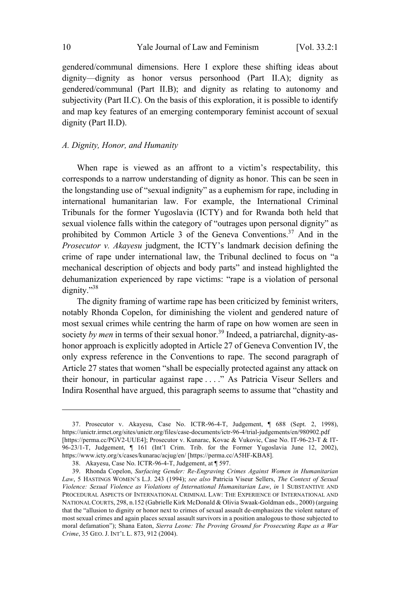gendered/communal dimensions. Here I explore these shifting ideas about dignity—dignity as honor versus personhood (Part II.A); dignity as gendered/communal (Part II.B); and dignity as relating to autonomy and subjectivity (Part II.C). On the basis of this exploration, it is possible to identify and map key features of an emerging contemporary feminist account of sexual dignity (Part II.D).

#### *A. Dignity, Honor, and Humanity*

When rape is viewed as an affront to a victim's respectability, this corresponds to a narrow understanding of dignity as honor. This can be seen in the longstanding use of "sexual indignity" as a euphemism for rape, including in international humanitarian law. For example, the International Criminal Tribunals for the former Yugoslavia (ICTY) and for Rwanda both held that sexual violence falls within the category of "outrages upon personal dignity" as prohibited by Common Article 3 of the Geneva Conventions.<sup>37</sup> And in the *Prosecutor v. Akayesu* judgment, the ICTY's landmark decision defining the crime of rape under international law, the Tribunal declined to focus on "a mechanical description of objects and body parts" and instead highlighted the dehumanization experienced by rape victims: "rape is a violation of personal dignity."<sup>38</sup>

The dignity framing of wartime rape has been criticized by feminist writers, notably Rhonda Copelon, for diminishing the violent and gendered nature of most sexual crimes while centring the harm of rape on how women are seen in society *by men* in terms of their sexual honor.<sup>39</sup> Indeed, a patriarchal, dignity-ashonor approach is explicitly adopted in Article 27 of Geneva Convention IV, the only express reference in the Conventions to rape. The second paragraph of Article 27 states that women "shall be especially protected against any attack on their honour, in particular against rape . . . ." As Patricia Viseur Sellers and Indira Rosenthal have argued, this paragraph seems to assume that "chastity and

<sup>37.</sup> Prosecutor v. Akayesu, Case No. ICTR-96-4-T, Judgement, ¶ 688 (Sept. 2, 1998), https://unictr.irmct.org/sites/unictr.org/files/case-documents/ictr-96-4/trial-judgements/en/980902.pdf [https://perma.cc/PGV2-UUE4]; Prosecutor v. Kunarac, Kovac & Vukovic, Case No. IT-96-23-T & IT-96-23/1-T, Judgement, ¶ 161 (Int'l Crim. Trib. for the Former Yugoslavia June 12, 2002), https://www.icty.org/x/cases/kunarac/acjug/en/ [https://perma.cc/A5HF-KBA8].

<sup>38.</sup> Akayesu, Case No. ICTR-96-4-T, Judgement, at ¶ 597.

<sup>39.</sup> Rhonda Copelon, *Surfacing Gender: Re-Engraving Crimes Against Women in Humanitarian Law*, 5 HASTINGS WOMEN'<sup>S</sup> L.J. 243 (1994); *see also* Patricia Viseur Sellers, *The Context of Sexual Violence: Sexual Violence as Violations of International Humanitarian Law*, *in* 1 SUBSTANTIVE AND PROCEDURAL ASPECTS OF INTERNATIONAL CRIMINAL LAW: THE EXPERIENCE OF INTERNATIONAL AND NATIONALCOURTS, 298, n.152 (Gabrielle Kirk McDonald & Olivia Swaak-Goldman eds., 2000) (arguing that the "allusion to dignity or honor next to crimes of sexual assault de-emphasizes the violent nature of most sexual crimes and again places sexual assault survivors in a position analogous to those subjected to moral defamation"); Shana Eaton, *Sierra Leone: The Proving Ground for Prosecuting Rape as a War Crime*, 35 GEO. J. INT'<sup>L</sup> L. 873, 912 (2004).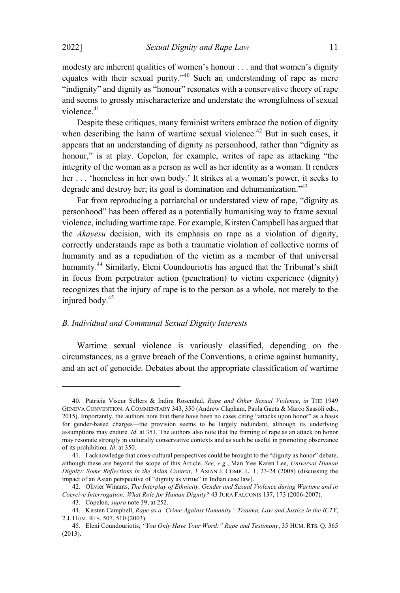modesty are inherent qualities of women's honour . . . and that women's dignity equates with their sexual purity."<sup>40</sup> Such an understanding of rape as mere "indignity" and dignity as "honour" resonates with a conservative theory of rape and seems to grossly mischaracterize and understate the wrongfulness of sexual violence.<sup>41</sup>

Despite these critiques, many feminist writers embrace the notion of dignity when describing the harm of wartime sexual violence.<sup>42</sup> But in such cases, it appears that an understanding of dignity as personhood, rather than "dignity as honour," is at play. Copelon, for example, writes of rape as attacking "the integrity of the woman as a person as well as her identity as a woman. It renders her . . . 'homeless in her own body.' It strikes at a woman's power, it seeks to degrade and destroy her; its goal is domination and dehumanization."<sup>43</sup>

Far from reproducing a patriarchal or understated view of rape, "dignity as personhood" has been offered as a potentially humanising way to frame sexual violence, including wartime rape. For example, Kirsten Campbell has argued that the *Akayesu* decision, with its emphasis on rape as a violation of dignity, correctly understands rape as both a traumatic violation of collective norms of humanity and as a repudiation of the victim as a member of that universal humanity.<sup>44</sup> Similarly, Eleni Coundouriotis has argued that the Tribunal's shift in focus from perpetrator action (penetration) to victim experience (dignity) recognizes that the injury of rape is to the person as a whole, not merely to the injured body.<sup>45</sup>

#### *B. Individual and Communal Sexual Dignity Interests*

Wartime sexual violence is variously classified, depending on the circumstances, as a grave breach of the Conventions, a crime against humanity, and an act of genocide. Debates about the appropriate classification of wartime

<sup>40.</sup> Patricia Viseur Sellers & Indira Rosenthal, *Rape and Other Sexual Violence*, *in* THE 1949 GENEVA CONVENTION: A COMMENTARY 343, 350 (Andrew Clapham, Paola Gaeta & Marco Sassòli eds., 2015). Importantly, the authors note that there have been no cases citing "attacks upon honor" as a basis for gender-based charges—the provision seems to be largely redundant, although its underlying assumptions may endure. *Id*. at 351. The authors also note that the framing of rape as an attack on honor may resonate strongly in culturally conservative contexts and as such be useful in promoting observance of its prohibition. *Id*. at 350.

<sup>41.</sup> I acknowledge that cross-cultural perspectives could be brought to the "dignity as honor" debate, although these are beyond the scope of this Article. *See, e.g.*, Man Yee Karen Lee, *Universal Human Dignity: Some Reflections in the Asian Context*, 3 ASIAN J. COMP. L. 1, 23-24 (2008) (discussing the impact of an Asian perspective of "dignity as virtue" in Indian case law).

<sup>42.</sup> Olivier Winants, *The Interplay of Ethnicity, Gender and Sexual Violence during Wartime and in Coercive Interrogation: What Role for Human Dignity?* 43 JURA FALCONIS 137, 173 (2006-2007).

<sup>43.</sup> Copelon, *supra* note 39, at 252.

<sup>44.</sup> Kirsten Campbell, *Rape as a 'Crime Against Humanity': Trauma, Law and Justice in the ICTY*, 2 J. HUM. RTS. 507, 510 (2003).

<sup>45.</sup> Eleni Coundouriotis, *"You Only Have Your Word:" Rape and Testimony*, 35 HUM. RTS. Q. 365 (2013).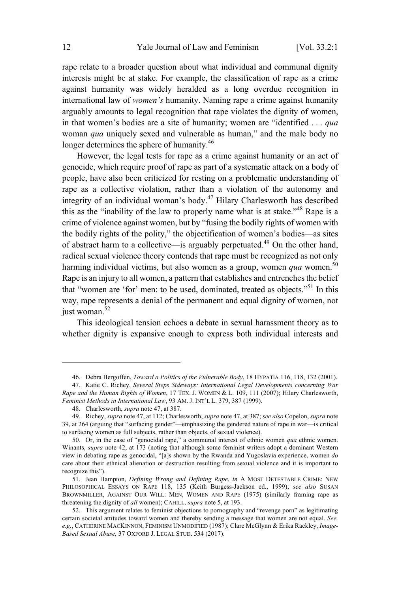rape relate to a broader question about what individual and communal dignity interests might be at stake. For example, the classification of rape as a crime against humanity was widely heralded as a long overdue recognition in international law of *women's* humanity. Naming rape a crime against humanity arguably amounts to legal recognition that rape violates the dignity of women, in that women's bodies are a site of humanity; women are "identified . . . *qua* woman *qua* uniquely sexed and vulnerable as human," and the male body no longer determines the sphere of humanity.<sup>46</sup>

However, the legal tests for rape as a crime against humanity or an act of genocide, which require proof of rape as part of a systematic attack on a body of people, have also been criticized for resting on a problematic understanding of rape as a collective violation, rather than a violation of the autonomy and integrity of an individual woman's body.<sup>47</sup> Hilary Charlesworth has described this as the "inability of the law to properly name what is at stake."<sup>48</sup> Rape is a crime of violence against women, but by "fusing the bodily rights of women with the bodily rights of the polity," the objectification of women's bodies—as sites of abstract harm to a collective—is arguably perpetuated.<sup>49</sup> On the other hand, radical sexual violence theory contends that rape must be recognized as not only harming individual victims, but also women as a group, women *qua* women.<sup>50</sup> Rape is an injury to all women, a pattern that establishes and entrenches the belief that "women are 'for' men: to be used, dominated, treated as objects."<sup>51</sup> In this way, rape represents a denial of the permanent and equal dignity of women, not just woman.<sup>52</sup>

This ideological tension echoes a debate in sexual harassment theory as to whether dignity is expansive enough to express both individual interests and

<sup>46.</sup> Debra Bergoffen, *Toward a Politics of the Vulnerable Body*, 18 HYPATIA 116, 118, 132 (2001).

<sup>47.</sup> Katie C. Richey, *Several Steps Sideways: International Legal Developments concerning War Rape and the Human Rights of Women*, 17 TEX. J. WOMEN & L. 109, 111 (2007); Hilary Charlesworth, *Feminist Methods in International Law*, 93 AM. J. INT'<sup>L</sup> L. 379, 387 (1999).

<sup>48.</sup> Charlesworth, *supra* note 47, at 387.

<sup>49.</sup> Richey, *supra* note 47, at 112; Charlesworth, *supra* note 47, at 387; *see also* Copelon, *supra* note 39, at 264 (arguing that "surfacing gender"—emphasizing the gendered nature of rape in war—is critical to surfacing women as full subjects, rather than objects, of sexual violence).

<sup>50.</sup> Or, in the case of "genocidal rape," a communal interest of ethnic women *qua* ethnic women. Winants, *supra* note 42, at 173 (noting that although some feminist writers adopt a dominant Western view in debating rape as genocidal, "[a]s shown by the Rwanda and Yugoslavia experience, women *do* care about their ethnical alienation or destruction resulting from sexual violence and it is important to recognize this").

<sup>51.</sup> Jean Hampton, *Defining Wrong and Defining Rape*, *in* A MOST DETESTABLE CRIME: NEW PHILOSOPHICAL ESSAYS ON RAPE 118, 135 (Keith Burgess-Jackson ed., 1999); *see also* SUSAN BROWNMILLER, AGAINST OUR WILL: MEN, WOMEN AND RAPE (1975) (similarly framing rape as threatening the dignity of *all* women); CAHILL, *supra* note 5, at 193.

<sup>52.</sup> This argument relates to feminist objections to pornography and "revenge porn" as legitimating certain societal attitudes toward women and thereby sending a message that women are not equal. *See, e.g.*, CATHERINE MACKINNON, FEMINISM UNMODIFIED (1987); Clare McGlynn & Erika Rackley, *Image-Based Sexual Abuse,* 37 OXFORD J. LEGAL STUD. 534 (2017).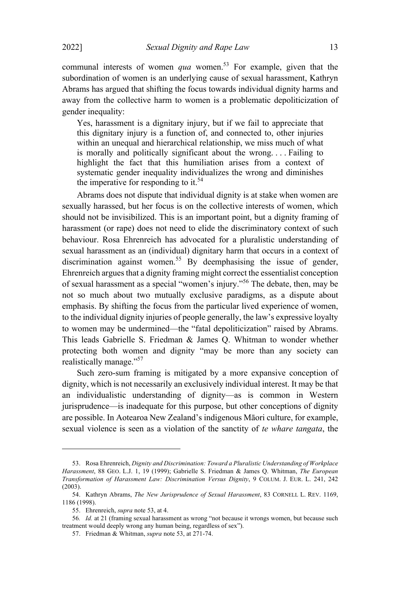communal interests of women *qua* women.<sup>53</sup> For example, given that the subordination of women is an underlying cause of sexual harassment, Kathryn Abrams has argued that shifting the focus towards individual dignity harms and away from the collective harm to women is a problematic depoliticization of gender inequality:

Yes, harassment is a dignitary injury, but if we fail to appreciate that this dignitary injury is a function of, and connected to, other injuries within an unequal and hierarchical relationship, we miss much of what is morally and politically significant about the wrong. . . . Failing to highlight the fact that this humiliation arises from a context of systematic gender inequality individualizes the wrong and diminishes the imperative for responding to it.<sup>54</sup>

Abrams does not dispute that individual dignity is at stake when women are sexually harassed, but her focus is on the collective interests of women, which should not be invisibilized. This is an important point, but a dignity framing of harassment (or rape) does not need to elide the discriminatory context of such behaviour. Rosa Ehrenreich has advocated for a pluralistic understanding of sexual harassment as an (individual) dignitary harm that occurs in a context of discrimination against women.<sup>55</sup> By deemphasising the issue of gender, Ehrenreich argues that a dignity framing might correct the essentialist conception of sexual harassment as a special "women's injury."<sup>56</sup> The debate, then, may be not so much about two mutually exclusive paradigms, as a dispute about emphasis. By shifting the focus from the particular lived experience of women, to the individual dignity injuries of people generally, the law's expressive loyalty to women may be undermined—the "fatal depoliticization" raised by Abrams. This leads Gabrielle S. Friedman & James Q. Whitman to wonder whether protecting both women and dignity "may be more than any society can realistically manage."<sup>57</sup>

Such zero-sum framing is mitigated by a more expansive conception of dignity, which is not necessarily an exclusively individual interest. It may be that an individualistic understanding of dignity—as is common in Western jurisprudence—is inadequate for this purpose, but other conceptions of dignity are possible. In Aotearoa New Zealand's indigenous Māori culture, for example, sexual violence is seen as a violation of the sanctity of *te whare tangata*, the

<sup>53.</sup> Rosa Ehrenreich, *Dignity and Discrimination: Toward a Pluralistic Understanding of Workplace Harassment*, 88 GEO. L.J. 1, 19 (1999); Gabrielle S. Friedman & James Q. Whitman, *The European Transformation of Harassment Law: Discrimination Versus Dignity*, 9 COLUM. J. EUR. L. 241, 242 (2003).

<sup>54.</sup> Kathryn Abrams, *The New Jurisprudence of Sexual Harassment*, 83 CORNELL L. REV. 1169, 1186 (1998).

<sup>55.</sup> Ehrenreich, *supra* note 53, at 4.

<sup>56</sup>*. Id.* at 21 (framing sexual harassment as wrong "not because it wrongs women, but because such treatment would deeply wrong any human being, regardless of sex").

<sup>57.</sup> Friedman & Whitman, *supra* note 53, at 271-74.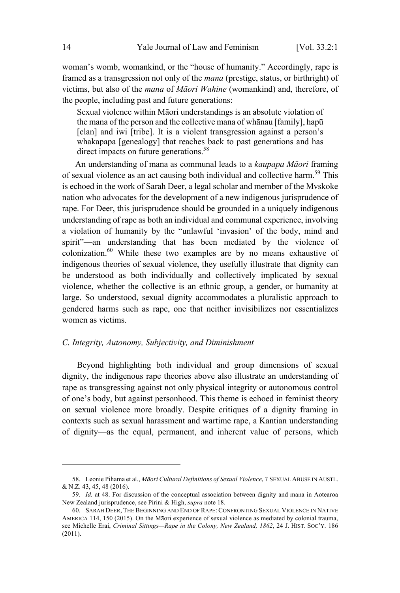woman's womb, womankind, or the "house of humanity." Accordingly, rape is framed as a transgression not only of the *mana* (prestige, status, or birthright) of victims, but also of the *mana* of *Māori Wahine* (womankind) and, therefore, of the people, including past and future generations:

Sexual violence within Māori understandings is an absolute violation of the mana of the person and the collective mana of whānau [family], hapū [clan] and iwi [tribe]. It is a violent transgression against a person's whakapapa [genealogy] that reaches back to past generations and has direct impacts on future generations.<sup>58</sup>

An understanding of mana as communal leads to a *kaupapa Māori* framing of sexual violence as an act causing both individual and collective harm.<sup>59</sup> This is echoed in the work of Sarah Deer, a legal scholar and member of the Mvskoke nation who advocates for the development of a new indigenous jurisprudence of rape. For Deer, this jurisprudence should be grounded in a uniquely indigenous understanding of rape as both an individual and communal experience, involving a violation of humanity by the "unlawful 'invasion' of the body, mind and spirit"—an understanding that has been mediated by the violence of colonization. <sup>60</sup> While these two examples are by no means exhaustive of indigenous theories of sexual violence, they usefully illustrate that dignity can be understood as both individually and collectively implicated by sexual violence, whether the collective is an ethnic group, a gender, or humanity at large. So understood, sexual dignity accommodates a pluralistic approach to gendered harms such as rape, one that neither invisibilizes nor essentializes women as victims.

# *C. Integrity, Autonomy, Subjectivity, and Diminishment*

Beyond highlighting both individual and group dimensions of sexual dignity, the indigenous rape theories above also illustrate an understanding of rape as transgressing against not only physical integrity or autonomous control of one's body, but against personhood. This theme is echoed in feminist theory on sexual violence more broadly. Despite critiques of a dignity framing in contexts such as sexual harassment and wartime rape, a Kantian understanding of dignity—as the equal, permanent, and inherent value of persons, which

<sup>58.</sup> Leonie Pihama et al., *Māori Cultural Definitions of Sexual Violence*, 7 SEXUAL ABUSE IN AUSTL. & N.Z. 43, 45, 48 (2016).

<sup>59</sup>*. Id.* at 48. For discussion of the conceptual association between dignity and mana in Aotearoa New Zealand jurisprudence, see Pirini & High, *supra* note 18.

<sup>60.</sup> SARAH DEER, THE BEGINNING AND END OF RAPE: CONFRONTING SEXUAL VIOLENCE IN NATIVE AMERICA 114, 150 (2015). On the Māori experience of sexual violence as mediated by colonial trauma, see Michelle Erai, *Criminal Sittings—Rape in the Colony, New Zealand, 1862*, 24 J. HIST. SOC'Y. 186 (2011).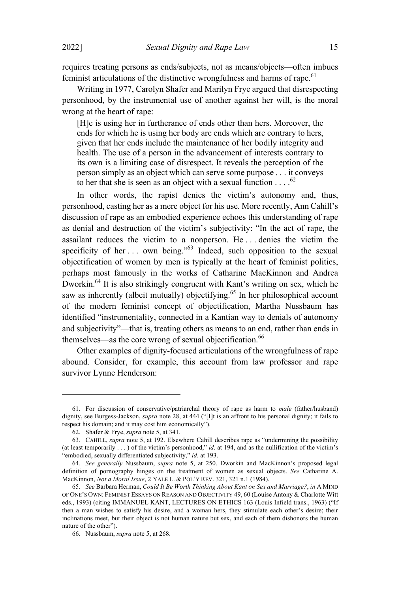requires treating persons as ends/subjects, not as means/objects—often imbues feminist articulations of the distinctive wrongfulness and harms of rape.<sup>61</sup>

Writing in 1977, Carolyn Shafer and Marilyn Frye argued that disrespecting personhood, by the instrumental use of another against her will, is the moral wrong at the heart of rape:

[H]e is using her in furtherance of ends other than hers. Moreover, the ends for which he is using her body are ends which are contrary to hers, given that her ends include the maintenance of her bodily integrity and health. The use of a person in the advancement of interests contrary to its own is a limiting case of disrespect. It reveals the perception of the person simply as an object which can serve some purpose . . . it conveys to her that she is seen as an object with a sexual function  $\ldots$ .

In other words, the rapist denies the victim's autonomy and, thus, personhood, casting her as a mere object for his use. More recently, Ann Cahill's discussion of rape as an embodied experience echoes this understanding of rape as denial and destruction of the victim's subjectivity: "In the act of rape, the assailant reduces the victim to a nonperson. He . . . denies the victim the specificity of her  $\ldots$  own being."<sup>63</sup> Indeed, such opposition to the sexual objectification of women by men is typically at the heart of feminist politics, perhaps most famously in the works of Catharine MacKinnon and Andrea Dworkin.<sup>64</sup> It is also strikingly congruent with Kant's writing on sex, which he saw as inherently (albeit mutually) objectifying.<sup>65</sup> In her philosophical account of the modern feminist concept of objectification, Martha Nussbaum has identified "instrumentality, connected in a Kantian way to denials of autonomy and subjectivity"—that is, treating others as means to an end, rather than ends in themselves—as the core wrong of sexual objectification. 66

Other examples of dignity-focused articulations of the wrongfulness of rape abound. Consider, for example, this account from law professor and rape survivor Lynne Henderson:

<sup>61.</sup> For discussion of conservative/patriarchal theory of rape as harm to *male* (father/husband) dignity, see Burgess-Jackson, *supra* note 28, at 444 ("[I]t is an affront to his personal dignity; it fails to respect his domain; and it may cost him economically").

<sup>62.</sup> Shafer & Frye, *supra* note 5, at 341.

<sup>63.</sup> CAHILL, *supra* note 5, at 192. Elsewhere Cahill describes rape as "undermining the possibility (at least temporarily . . . ) of the victim's personhood," *id*. at 194, and as the nullification of the victim's "embodied, sexually differentiated subjectivity," *id*. at 193.

<sup>64</sup>*. See generally* Nussbaum, *supra* note 5, at 250. Dworkin and MacKinnon's proposed legal definition of pornography hinges on the treatment of women as sexual objects. *See* Catharine A. MacKinnon, *Not a Moral Issue*, 2 YALE L. & POL'<sup>Y</sup> REV. 321, 321 n.1 (1984).

<sup>65</sup>*. See* Barbara Herman, *Could It Be Worth Thinking About Kant on Sex and Marriage?*, *in* A MIND OF ONE'<sup>S</sup> OWN: FEMINIST ESSAYS ON REASON AND OBJECTIVITY 49, 60 (Louise Antony & Charlotte Witt eds., 1993) (citing IMMANUEL KANT, LECTURES ON ETHICS 163 (Louis Infield trans., 1963) ("If then a man wishes to satisfy his desire, and a woman hers, they stimulate each other's desire; their inclinations meet, but their object is not human nature but sex, and each of them dishonors the human nature of the other").

<sup>66.</sup> Nussbaum, *supra* note 5, at 268.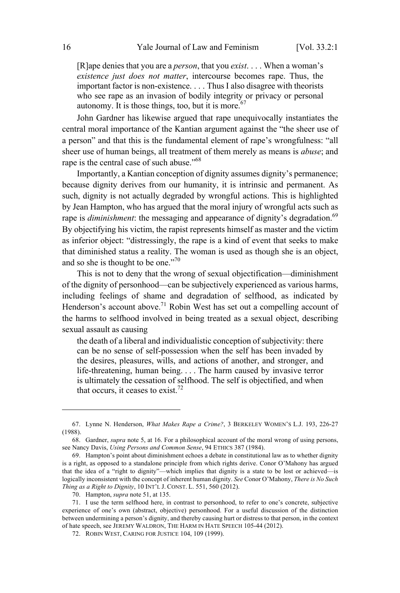[R]ape denies that you are a *person*, that you *exist*. . . . When a woman's *existence just does not matter*, intercourse becomes rape. Thus, the important factor is non-existence. . . . Thus I also disagree with theorists who see rape as an invasion of bodily integrity or privacy or personal autonomy. It is those things, too, but it is more.<sup>67</sup>

John Gardner has likewise argued that rape unequivocally instantiates the central moral importance of the Kantian argument against the "the sheer use of a person" and that this is the fundamental element of rape's wrongfulness: "all sheer use of human beings, all treatment of them merely as means is *abuse*; and rape is the central case of such abuse."<sup>68</sup>

Importantly, a Kantian conception of dignity assumes dignity's permanence; because dignity derives from our humanity, it is intrinsic and permanent. As such, dignity is not actually degraded by wrongful actions. This is highlighted by Jean Hampton, who has argued that the moral injury of wrongful acts such as rape is *diminishment*: the messaging and appearance of dignity's degradation.<sup>69</sup> By objectifying his victim, the rapist represents himself as master and the victim as inferior object: "distressingly, the rape is a kind of event that seeks to make that diminished status a reality. The woman is used as though she is an object, and so she is thought to be one."<sup>70</sup>

This is not to deny that the wrong of sexual objectification—diminishment of the dignity of personhood—can be subjectively experienced as various harms, including feelings of shame and degradation of selfhood, as indicated by Henderson's account above.<sup>71</sup> Robin West has set out a compelling account of the harms to selfhood involved in being treated as a sexual object, describing sexual assault as causing

the death of a liberal and individualistic conception of subjectivity: there can be no sense of self-possession when the self has been invaded by the desires, pleasures, wills, and actions of another, and stronger, and life-threatening, human being. . . . The harm caused by invasive terror is ultimately the cessation of selfhood. The self is objectified, and when that occurs, it ceases to exist.<sup>72</sup>

<sup>67.</sup> Lynne N. Henderson, *What Makes Rape a Crime?*, 3 BERKELEY WOMEN'<sup>S</sup> L.J. 193, 226-27 (1988).

<sup>68.</sup> Gardner, *supra* note 5, at 16. For a philosophical account of the moral wrong of using persons, see Nancy Davis, *Using Persons and Common Sense*, 94 ETHICS 387 (1984).

<sup>69.</sup> Hampton's point about diminishment echoes a debate in constitutional law as to whether dignity is a right, as opposed to a standalone principle from which rights derive. Conor O'Mahony has argued that the idea of a "right to dignity"—which implies that dignity is a state to be lost or achieved—is logically inconsistent with the concept of inherent human dignity. *See* Conor O'Mahony, *There is No Such Thing as a Right to Dignity*, 10 INT'<sup>L</sup> J. CONST. L. 551, 560 (2012).

<sup>70.</sup> Hampton, *supra* note 51, at 135.

<sup>71.</sup> I use the term selfhood here, in contrast to personhood, to refer to one's concrete, subjective experience of one's own (abstract, objective) personhood. For a useful discussion of the distinction between undermining a person's dignity, and thereby causing hurt or distress to that person, in the context of hate speech, see JEREMY WALDRON, THE HARM IN HATE SPEECH 105-44 (2012).

<sup>72.</sup> ROBIN WEST, CARING FOR JUSTICE 104, 109 (1999).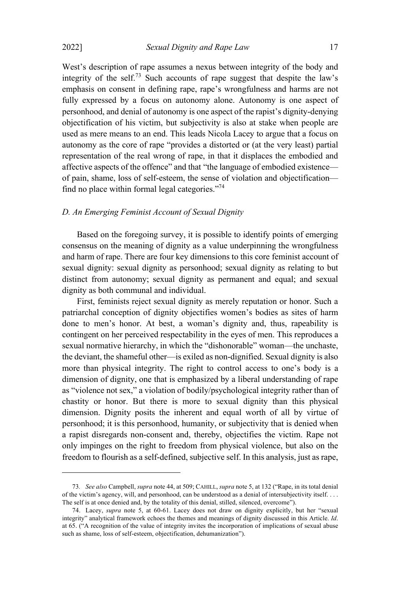2022] *Sexual Dignity and Rape Law* 17

West's description of rape assumes a nexus between integrity of the body and integrity of the self.<sup>73</sup> Such accounts of rape suggest that despite the law's emphasis on consent in defining rape, rape's wrongfulness and harms are not fully expressed by a focus on autonomy alone. Autonomy is one aspect of personhood, and denial of autonomy is one aspect of the rapist's dignity-denying objectification of his victim, but subjectivity is also at stake when people are used as mere means to an end. This leads Nicola Lacey to argue that a focus on autonomy as the core of rape "provides a distorted or (at the very least) partial representation of the real wrong of rape, in that it displaces the embodied and affective aspects of the offence" and that "the language of embodied existence of pain, shame, loss of self-esteem, the sense of violation and objectification find no place within formal legal categories. $^{774}$ 

#### *D. An Emerging Feminist Account of Sexual Dignity*

Based on the foregoing survey, it is possible to identify points of emerging consensus on the meaning of dignity as a value underpinning the wrongfulness and harm of rape. There are four key dimensions to this core feminist account of sexual dignity: sexual dignity as personhood; sexual dignity as relating to but distinct from autonomy; sexual dignity as permanent and equal; and sexual dignity as both communal and individual.

First, feminists reject sexual dignity as merely reputation or honor. Such a patriarchal conception of dignity objectifies women's bodies as sites of harm done to men's honor. At best, a woman's dignity and, thus, rapeability is contingent on her perceived respectability in the eyes of men. This reproduces a sexual normative hierarchy, in which the "dishonorable" woman—the unchaste, the deviant, the shameful other—is exiled as non-dignified. Sexual dignity is also more than physical integrity. The right to control access to one's body is a dimension of dignity, one that is emphasized by a liberal understanding of rape as "violence not sex," a violation of bodily/psychological integrity rather than of chastity or honor. But there is more to sexual dignity than this physical dimension. Dignity posits the inherent and equal worth of all by virtue of personhood; it is this personhood, humanity, or subjectivity that is denied when a rapist disregards non-consent and, thereby, objectifies the victim. Rape not only impinges on the right to freedom from physical violence, but also on the freedom to flourish as a self-defined, subjective self. In this analysis, just as rape,

<sup>73</sup>*. See also* Campbell, *supra* note 44, at 509; CAHILL, *supra* note 5, at 132 ("Rape, in its total denial of the victim's agency, will, and personhood, can be understood as a denial of intersubjectivity itself. . . . The self is at once denied and, by the totality of this denial, stilled, silenced, overcome").

<sup>74.</sup> Lacey, *supra* note 5, at 60-61. Lacey does not draw on dignity explicitly, but her "sexual integrity" analytical framework echoes the themes and meanings of dignity discussed in this Article. *Id*. at 65. ("A recognition of the value of integrity invites the incorporation of implications of sexual abuse such as shame, loss of self-esteem, objectification, dehumanization").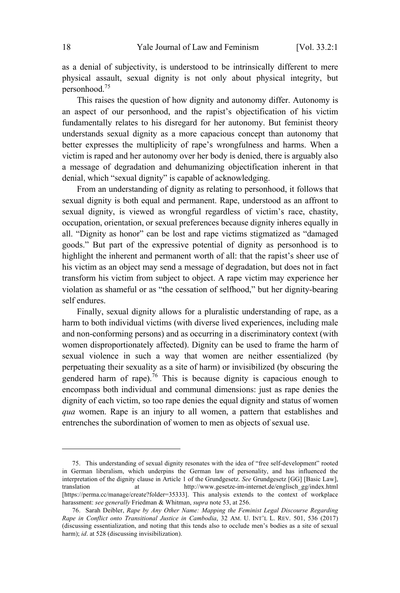as a denial of subjectivity, is understood to be intrinsically different to mere physical assault, sexual dignity is not only about physical integrity, but personhood.<sup>75</sup>

This raises the question of how dignity and autonomy differ. Autonomy is an aspect of our personhood, and the rapist's objectification of his victim fundamentally relates to his disregard for her autonomy. But feminist theory understands sexual dignity as a more capacious concept than autonomy that better expresses the multiplicity of rape's wrongfulness and harms. When a victim is raped and her autonomy over her body is denied, there is arguably also a message of degradation and dehumanizing objectification inherent in that denial, which "sexual dignity" is capable of acknowledging.

From an understanding of dignity as relating to personhood, it follows that sexual dignity is both equal and permanent. Rape, understood as an affront to sexual dignity, is viewed as wrongful regardless of victim's race, chastity, occupation, orientation, or sexual preferences because dignity inheres equally in all. "Dignity as honor" can be lost and rape victims stigmatized as "damaged goods." But part of the expressive potential of dignity as personhood is to highlight the inherent and permanent worth of all: that the rapist's sheer use of his victim as an object may send a message of degradation, but does not in fact transform his victim from subject to object. A rape victim may experience her violation as shameful or as "the cessation of selfhood," but her dignity-bearing self endures.

Finally, sexual dignity allows for a pluralistic understanding of rape, as a harm to both individual victims (with diverse lived experiences, including male and non-conforming persons) and as occurring in a discriminatory context (with women disproportionately affected). Dignity can be used to frame the harm of sexual violence in such a way that women are neither essentialized (by perpetuating their sexuality as a site of harm) or invisibilized (by obscuring the gendered harm of rape).<sup>76</sup> This is because dignity is capacious enough to encompass both individual and communal dimensions: just as rape denies the dignity of each victim, so too rape denies the equal dignity and status of women *qua* women. Rape is an injury to all women, a pattern that establishes and entrenches the subordination of women to men as objects of sexual use.

<sup>75.</sup> This understanding of sexual dignity resonates with the idea of "free self-development" rooted in German liberalism, which underpins the German law of personality, and has influenced the interpretation of the dignity clause in Article 1 of the Grundgesetz. *See* Grundgesetz [GG] [Basic Law], translation at http://www.gesetze-im-internet.de/englisch gg/index.html http://www.gesetze-im-internet.de/englisch\_gg/index.html [https://perma.cc/manage/create?folder=35333]. This analysis extends to the context of workplace harassment: *see generally* Friedman & Whitman, *supra* note 53, at 256.

<sup>76.</sup> Sarah Deibler, *Rape by Any Other Name: Mapping the Feminist Legal Discourse Regarding Rape in Conflict onto Transitional Justice in Cambodia*, 32 AM. U. INT'<sup>L</sup> L. REV. 501, 536 (2017) (discussing essentialization, and noting that this tends also to occlude men's bodies as a site of sexual harm); *id*. at 528 (discussing invisibilization).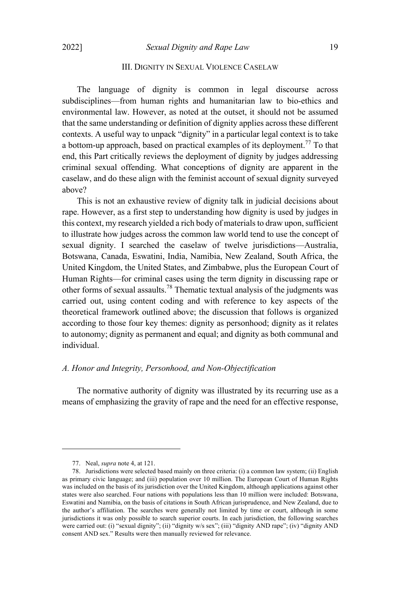## III. DIGNITY IN SEXUAL VIOLENCE CASELAW

The language of dignity is common in legal discourse across subdisciplines—from human rights and humanitarian law to bio-ethics and environmental law. However, as noted at the outset, it should not be assumed that the same understanding or definition of dignity applies across these different contexts. A useful way to unpack "dignity" in a particular legal context is to take a bottom-up approach, based on practical examples of its deployment.<sup>77</sup> To that end, this Part critically reviews the deployment of dignity by judges addressing criminal sexual offending. What conceptions of dignity are apparent in the caselaw, and do these align with the feminist account of sexual dignity surveyed above?

This is not an exhaustive review of dignity talk in judicial decisions about rape. However, as a first step to understanding how dignity is used by judges in this context, my research yielded a rich body of materials to draw upon, sufficient to illustrate how judges across the common law world tend to use the concept of sexual dignity. I searched the caselaw of twelve jurisdictions—Australia, Botswana, Canada, Eswatini, India, Namibia, New Zealand, South Africa, the United Kingdom, the United States, and Zimbabwe, plus the European Court of Human Rights—for criminal cases using the term dignity in discussing rape or other forms of sexual assaults.<sup>78</sup> Thematic textual analysis of the judgments was carried out, using content coding and with reference to key aspects of the theoretical framework outlined above; the discussion that follows is organized according to those four key themes: dignity as personhood; dignity as it relates to autonomy; dignity as permanent and equal; and dignity as both communal and individual.

# *A. Honor and Integrity, Personhood, and Non-Objectification*

The normative authority of dignity was illustrated by its recurring use as a means of emphasizing the gravity of rape and the need for an effective response,

<sup>77.</sup> Neal, *supra* note 4, at 121.

<sup>78.</sup> Jurisdictions were selected based mainly on three criteria: (i) a common law system; (ii) English as primary civic language; and (iii) population over 10 million. The European Court of Human Rights was included on the basis of its jurisdiction over the United Kingdom, although applications against other states were also searched. Four nations with populations less than 10 million were included: Botswana, Eswatini and Namibia, on the basis of citations in South African jurisprudence, and New Zealand, due to the author's affiliation. The searches were generally not limited by time or court, although in some jurisdictions it was only possible to search superior courts. In each jurisdiction, the following searches were carried out: (i) "sexual dignity"; (ii) "dignity w/s sex"; (iii) "dignity AND rape"; (iv) "dignity AND consent AND sex." Results were then manually reviewed for relevance.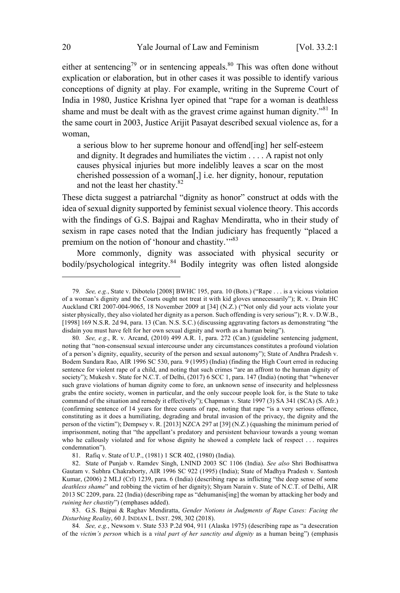either at sentencing<sup>79</sup> or in sentencing appeals.<sup>80</sup> This was often done without explication or elaboration, but in other cases it was possible to identify various conceptions of dignity at play. For example, writing in the Supreme Court of India in 1980, Justice Krishna Iyer opined that "rape for a woman is deathless shame and must be dealt with as the gravest crime against human dignity.<sup> $81$ </sup> In the same court in 2003, Justice Arijit Pasayat described sexual violence as, for a woman,

a serious blow to her supreme honour and offend[ing] her self-esteem and dignity. It degrades and humiliates the victim . . . . A rapist not only causes physical injuries but more indelibly leaves a scar on the most cherished possession of a woman[,] i.e. her dignity, honour, reputation and not the least her chastity.<sup>82</sup>

These dicta suggest a patriarchal "dignity as honor" construct at odds with the idea of sexual dignity supported by feminist sexual violence theory. This accords with the findings of G.S. Bajpai and Raghav Mendiratta, who in their study of sexism in rape cases noted that the Indian judiciary has frequently "placed a premium on the notion of 'honour and chastity."<sup>83</sup>

More commonly, dignity was associated with physical security or bodily/psychological integrity.<sup>84</sup> Bodily integrity was often listed alongside

83. G.S. Bajpai & Raghav Mendiratta, *Gender Notions in Judgments of Rape Cases: Facing the Disturbing Reality*, 60 J. INDIAN L. INST. 298, 302 (2018).

84*. See, e.g.*, Newsom v. State 533 P.2d 904, 911 (Alaska 1975) (describing rape as "a desecration of the *victim's person* which is a *vital part of her sanctity and dignity* as a human being") (emphasis

<sup>79</sup>*. See, e.g.*, State v. Dibotelo [2008] BWHC 195, para. 10 (Bots.) ("Rape . . . is a vicious violation of a woman's dignity and the Courts ought not treat it with kid gloves unnecessarily"); R. v. Drain HC Auckland CRI 2007-004-9065, 18 November 2009 at [34] (N.Z.) ("Not only did your acts violate your sister physically, they also violated her dignity as a person. Such offending is very serious"); R. v. D.W.B., [1998] 169 N.S.R. 2d 94, para. 13 (Can. N.S. S.C.) (discussing aggravating factors as demonstrating "the disdain you must have felt for her own sexual dignity and worth as a human being").

<sup>80</sup>*. See, e.g.*, R. v. Arcand, (2010) 499 A.R. 1, para. 272 (Can.) (guideline sentencing judgment, noting that "non-consensual sexual intercourse under any circumstances constitutes a profound violation of a person's dignity, equality, security of the person and sexual autonomy"); State of Andhra Pradesh v. Bodem Sundara Rao, AIR 1996 SC 530, para. 9 (1995) (India) (finding the High Court erred in reducing sentence for violent rape of a child, and noting that such crimes "are an affront to the human dignity of society"); Mukesh v. State for N.C.T. of Delhi,  $(2017)$  6 SCC 1, para. 147 (India) (noting that "whenever" such grave violations of human dignity come to fore, an unknown sense of insecurity and helplessness grabs the entire society, women in particular, and the only succour people look for, is the State to take command of the situation and remedy it effectively"); Chapman v. State 1997 (3) SA 341 (SCA) (S. Afr.) (confirming sentence of 14 years for three counts of rape, noting that rape "is a very serious offence, constituting as it does a humiliating, degrading and brutal invasion of the privacy, the dignity and the person of the victim"); Dempsey v. R. [2013] NZCA 297 at [39] (N.Z.) (quashing the minimum period of imprisonment, noting that "the appellant's predatory and persistent behaviour towards a young woman who he callously violated and for whose dignity he showed a complete lack of respect . . . requires condemnation").

<sup>81.</sup> Rafiq v. State of U.P., (1981) 1 SCR 402, (1980) (India).

<sup>82.</sup> State of Punjab v. Ramdev Singh, LNIND 2003 SC 1106 (India). *See also* Shri Bodhisattwa Gautam v. Subhra Chakraborty, AIR 1996 SC 922 (1995) (India); State of Madhya Pradesh v. Santosh Kumar, (2006) 2 MLJ (Crl) 1239, para. 6 (India) (describing rape as inflicting "the deep sense of some *deathless shame*" and robbing the victim of her dignity); Shyam Narain v. State of N.C.T. of Delhi, AIR 2013 SC 2209, para. 22 (India) (describing rape as "dehumanis[ing] the woman by attacking her body and *ruining her chastity*") (emphases added).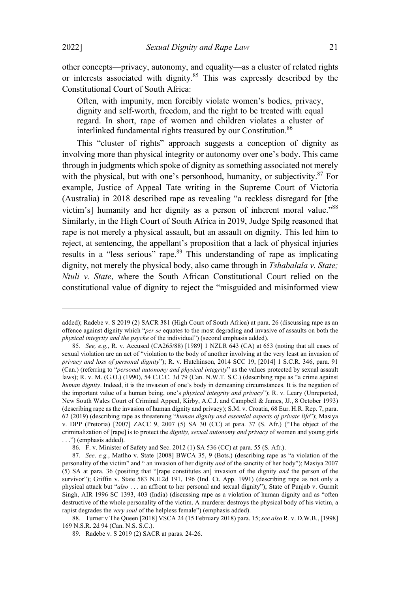other concepts—privacy, autonomy, and equality—as a cluster of related rights or interests associated with dignity.<sup>85</sup> This was expressly described by the Constitutional Court of South Africa:

Often, with impunity, men forcibly violate women's bodies, privacy, dignity and self-worth, freedom, and the right to be treated with equal regard. In short, rape of women and children violates a cluster of interlinked fundamental rights treasured by our Constitution. 86

This "cluster of rights" approach suggests a conception of dignity as involving more than physical integrity or autonomy over one's body. This came through in judgments which spoke of dignity as something associated not merely with the physical, but with one's personhood, humanity, or subjectivity.<sup>87</sup> For example, Justice of Appeal Tate writing in the Supreme Court of Victoria (Australia) in 2018 described rape as revealing "a reckless disregard for [the victim's] humanity and her dignity as a person of inherent moral value."<sup>88</sup> Similarly, in the High Court of South Africa in 2019, Judge Spilg reasoned that rape is not merely a physical assault, but an assault on dignity. This led him to reject, at sentencing, the appellant's proposition that a lack of physical injuries results in a "less serious" rape.<sup>89</sup> This understanding of rape as implicating dignity, not merely the physical body, also came through in *Tshabalala v. State; Ntuli v. State*, where the South African Constitutional Court relied on the constitutional value of dignity to reject the "misguided and misinformed view

added); Radebe v. S 2019 (2) SACR 381 (High Court of South Africa) at para. 26 (discussing rape as an offence against dignity which "*per se* equates to the most degrading and invasive of assaults on both the *physical integrity and the psyche* of the individual") (second emphasis added).

<sup>85</sup>*. See, e.g.*, R. v. Accused (CA265/88) [1989] 1 NZLR 643 (CA) at 653 (noting that all cases of sexual violation are an act of "violation to the body of another involving at the very least an invasion of *privacy and loss of personal dignity*"); R. v. Hutchinson, 2014 SCC 19, [2014] 1 S.C.R. 346, para. 91 (Can.) (referring to "*personal autonomy and physical integrity*" as the values protected by sexual assault laws); R. v. M. (G.O.) (1990), 54 C.C.C. 3d 79 (Can. N.W.T. S.C.) (describing rape as "a crime against *human dignity*. Indeed, it is the invasion of one's body in demeaning circumstances. It is the negation of the important value of a human being, one's *physical integrity and privacy*"); R. v. Leary (Unreported, New South Wales Court of Criminal Appeal, Kirby, A.C.J. and Campbell & James, JJ., 8 October 1993) (describing rape as the invasion of human dignity and privacy); S.M. v. Croatia, 68 Eur. H.R. Rep. 7, para. 62 (2019) (describing rape as threatening "*human dignity and essential aspects of private life*"); Masiya v. DPP (Pretoria) [2007] ZACC 9, 2007 (5) SA 30 (CC) at para. 37 (S. Afr.) ("The object of the criminalization of [rape] is to protect the *dignity, sexual autonomy and privacy* of women and young girls . . .") (emphasis added).

<sup>86</sup>*.* F. v. Minister of Safety and Sec. 2012 (1) SA 536 (CC) at para. 55 (S. Afr.).

<sup>87</sup>*. See, e.g.*, Matlho v. State [2008] BWCA 35, 9 (Bots.) (describing rape as "a violation of the personality of the victim" and " an invasion of her dignity *and* of the sanctity of her body"); Masiya 2007 (5) SA at para. 36 (positing that "[rape constitutes an] invasion of the dignity *and* the person of the survivor"); Griffin v. State 583 N.E.2d 191, 196 (Ind. Ct. App. 1991) (describing rape as not only a physical attack but "*also* . . . an affront to her personal and sexual dignity"); State of Punjab v. Gurmit Singh, AIR 1996 SC 1393, 403 (India) (discussing rape as a violation of human dignity and as "often destructive of the whole personality of the victim. A murderer destroys the physical body of his victim, a rapist degrades the *very soul* of the helpless female") (emphasis added).

<sup>88</sup>*.* Turner v The Queen [2018] VSCA 24 (15 February 2018) para. 15; *see also* R. v. D.W.B., [1998] 169 N.S.R. 2d 94 (Can. N.S. S.C.).

<sup>89</sup>*.* Radebe v. S 2019 (2) SACR at paras. 24-26.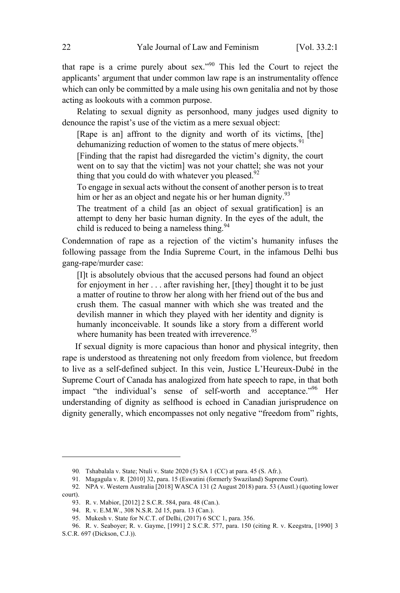that rape is a crime purely about sex."<sup>90</sup> This led the Court to reject the applicants' argument that under common law rape is an instrumentality offence which can only be committed by a male using his own genitalia and not by those acting as lookouts with a common purpose.

Relating to sexual dignity as personhood, many judges used dignity to denounce the rapist's use of the victim as a mere sexual object:

[Rape is an] affront to the dignity and worth of its victims, [the] dehumanizing reduction of women to the status of mere objects.<sup>91</sup>

[Finding that the rapist had disregarded the victim's dignity, the court went on to say that the victim] was not your chattel; she was not your thing that you could do with whatever you pleased. $92$ 

To engage in sexual acts without the consent of another person is to treat him or her as an object and negate his or her human dignity. $93$ 

The treatment of a child [as an object of sexual gratification] is an attempt to deny her basic human dignity. In the eyes of the adult, the child is reduced to being a nameless thing.  $94$ 

Condemnation of rape as a rejection of the victim's humanity infuses the following passage from the India Supreme Court, in the infamous Delhi bus gang-rape/murder case:

[I]t is absolutely obvious that the accused persons had found an object for enjoyment in her . . . after ravishing her, [they] thought it to be just a matter of routine to throw her along with her friend out of the bus and crush them. The casual manner with which she was treated and the devilish manner in which they played with her identity and dignity is humanly inconceivable. It sounds like a story from a different world where humanity has been treated with irreverence.  $95$ 

If sexual dignity is more capacious than honor and physical integrity, then rape is understood as threatening not only freedom from violence, but freedom to live as a self-defined subject. In this vein, Justice L'Heureux-Dubé in the Supreme Court of Canada has analogized from hate speech to rape, in that both impact "the individual's sense of self-worth and acceptance."<sup>96</sup> Her understanding of dignity as selfhood is echoed in Canadian jurisprudence on dignity generally, which encompasses not only negative "freedom from" rights,

<sup>90</sup>*.* Tshabalala v. State; Ntuli v. State 2020 (5) SA 1 (CC) at para. 45 (S. Afr.).

<sup>91</sup>*.* Magagula v. R*.* [2010] 32, para. 15 (Eswatini (formerly Swaziland) Supreme Court).

<sup>92</sup>*.* NPA v. Western Australia [2018] WASCA 131 (2 August 2018) para. 53 (Austl.) (quoting lower court).

<sup>93.</sup> R. v. Mabior, [2012] 2 S.C.R. 584, para. 48 (Can.).

<sup>94.</sup> R. v. E.M.W., 308 N.S.R. 2d 15, para. 13 (Can.).

<sup>95.</sup> Mukesh v. State for N.C.T. of Delhi, (2017) 6 SCC 1, para. 356.

<sup>96.</sup> R. v. Seaboyer; R. v. Gayme, [1991] 2 S.C.R. 577, para. 150 (citing R. v. Keegstra, [1990] 3 S.C.R. 697 (Dickson, C.J.)).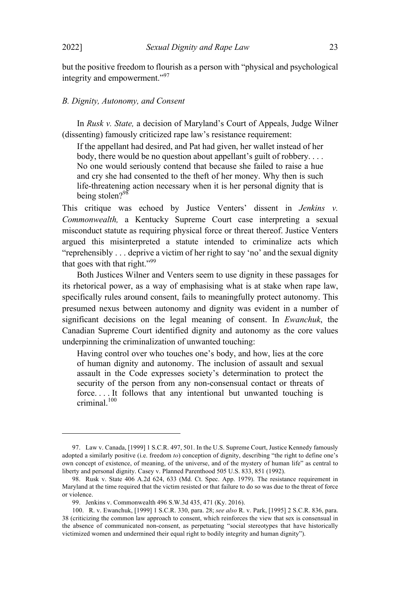but the positive freedom to flourish as a person with "physical and psychological integrity and empowerment."<sup>97</sup>

#### *B. Dignity, Autonomy, and Consent*

In *Rusk v. State,* a decision of Maryland's Court of Appeals, Judge Wilner (dissenting) famously criticized rape law's resistance requirement:

If the appellant had desired, and Pat had given, her wallet instead of her body, there would be no question about appellant's guilt of robbery. . . . No one would seriously contend that because she failed to raise a hue and cry she had consented to the theft of her money. Why then is such life-threatening action necessary when it is her personal dignity that is being stolen? $98$ 

This critique was echoed by Justice Venters' dissent in *Jenkins v. Commonwealth,* a Kentucky Supreme Court case interpreting a sexual misconduct statute as requiring physical force or threat thereof. Justice Venters argued this misinterpreted a statute intended to criminalize acts which "reprehensibly . . . deprive a victim of her right to say 'no' and the sexual dignity that goes with that right."<sup>99</sup>

Both Justices Wilner and Venters seem to use dignity in these passages for its rhetorical power, as a way of emphasising what is at stake when rape law, specifically rules around consent, fails to meaningfully protect autonomy. This presumed nexus between autonomy and dignity was evident in a number of significant decisions on the legal meaning of consent. In *Ewanchuk*, the Canadian Supreme Court identified dignity and autonomy as the core values underpinning the criminalization of unwanted touching:

Having control over who touches one's body, and how, lies at the core of human dignity and autonomy. The inclusion of assault and sexual assault in the Code expresses society's determination to protect the security of the person from any non-consensual contact or threats of force. . . . It follows that any intentional but unwanted touching is criminal.<sup>100</sup>

<sup>97.</sup> Law v. Canada, [1999] 1 S.C.R. 497, 501. In the U.S. Supreme Court, Justice Kennedy famously adopted a similarly positive (i.e. freedom *to*) conception of dignity, describing "the right to define one's own concept of existence, of meaning, of the universe, and of the mystery of human life" as central to liberty and personal dignity. Casey v. Planned Parenthood 505 U.S. 833, 851 (1992).

<sup>98.</sup> Rusk v. State 406 A.2d 624, 633 (Md. Ct. Spec. App. 1979). The resistance requirement in Maryland at the time required that the victim resisted or that failure to do so was due to the threat of force or violence.

<sup>99.</sup> Jenkins v. Commonwealth 496 S.W.3d 435, 471 (Ky. 2016).

<sup>100.</sup> R. v. Ewanchuk, [1999] 1 S.C.R. 330, para. 28; *see also* R. v. Park, [1995] 2 S.C.R. 836, para. 38 (criticizing the common law approach to consent, which reinforces the view that sex is consensual in the absence of communicated non-consent, as perpetuating "social stereotypes that have historically victimized women and undermined their equal right to bodily integrity and human dignity").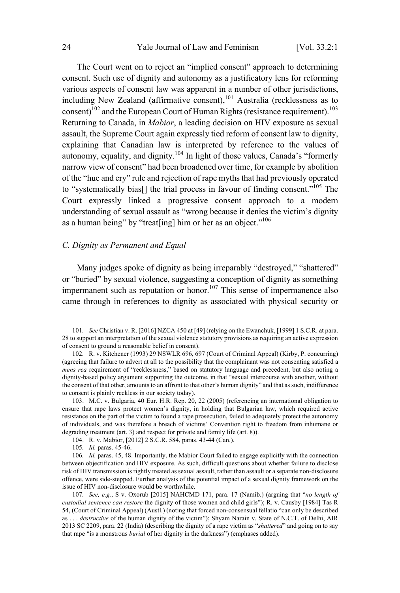The Court went on to reject an "implied consent" approach to determining consent. Such use of dignity and autonomy as a justificatory lens for reforming various aspects of consent law was apparent in a number of other jurisdictions, including New Zealand (affirmative consent), $101$  Australia (recklessness as to consent)<sup>102</sup> and the European Court of Human Rights (resistance requirement).<sup>103</sup> Returning to Canada, in *Mabior*, a leading decision on HIV exposure as sexual assault, the Supreme Court again expressly tied reform of consent law to dignity, explaining that Canadian law is interpreted by reference to the values of autonomy, equality, and dignity.<sup>104</sup> In light of those values, Canada's "formerly narrow view of consent" had been broadened over time, for example by abolition of the "hue and cry" rule and rejection of rape myths that had previously operated to "systematically bias<sup>[]</sup> the trial process in favour of finding consent."<sup>105</sup> The Court expressly linked a progressive consent approach to a modern understanding of sexual assault as "wrong because it denies the victim's dignity as a human being" by "treat[ing] him or her as an object."<sup>106</sup>

# *C. Dignity as Permanent and Equal*

Many judges spoke of dignity as being irreparably "destroyed," "shattered" or "buried" by sexual violence, suggesting a conception of dignity as something impermanent such as reputation or honor.<sup>107</sup> This sense of impermanence also came through in references to dignity as associated with physical security or

<sup>101</sup>*. See* Christian v. R. [2016] NZCA 450 at [49] (relying on the Ewanchuk, [1999] 1 S.C.R. at para. 28 to support an interpretation of the sexual violence statutory provisions as requiring an active expression of consent to ground a reasonable belief in consent).

<sup>102</sup>*.* R. v. Kitchener (1993) 29 NSWLR 696, 697 (Court of Criminal Appeal) (Kirby, P. concurring) (agreeing that failure to advert at all to the possibility that the complainant was not consenting satisfied a *mens rea* requirement of "recklessness," based on statutory language and precedent, but also noting a dignity-based policy argument supporting the outcome, in that "sexual intercourse with another, without the consent of that other, amounts to an affront to that other's human dignity" and that as such, indifference to consent is plainly reckless in our society today).

<sup>103.</sup> M.C. v. Bulgaria, 40 Eur. H.R. Rep. 20, 22 (2005) (referencing an international obligation to ensure that rape laws protect women's dignity, in holding that Bulgarian law, which required active resistance on the part of the victim to found a rape prosecution, failed to adequately protect the autonomy of individuals, and was therefore a breach of victims' Convention right to freedom from inhumane or degrading treatment (art. 3) and respect for private and family life (art. 8)).

<sup>104.</sup> R. v. Mabior, [2012] 2 S.C.R. 584, paras. 43-44 (Can.).

<sup>105</sup>*. Id.* paras. 45-46.

<sup>106</sup>*. Id.* paras. 45, 48. Importantly, the Mabior Court failed to engage explicitly with the connection between objectification and HIV exposure. As such, difficult questions about whether failure to disclose risk of HIV transmission is rightly treated as sexual assault, rather than assault or a separate non-disclosure offence, were side-stepped. Further analysis of the potential impact of a sexual dignity framework on the issue of HIV non-disclosure would be worthwhile.

<sup>107</sup>*. See, e.g.*, S v. Oxorub [2015] NAHCMD 171, para. 17 (Namib.) (arguing that "*no length of custodial sentence can restore* the dignity of those women and child girls"); R. v. Causby [1984] Tas R 54, (Court of Criminal Appeal) (Austl.) (noting that forced non-consensual fellatio "can only be described as . . . *destructive* of the human dignity of the victim"); Shyam Narain v. State of N.C.T. of Delhi, AIR 2013 SC 2209, para. 22 (India) (describing the dignity of a rape victim as "*shattered*" and going on to say that rape "is a monstrous *burial* of her dignity in the darkness") (emphases added).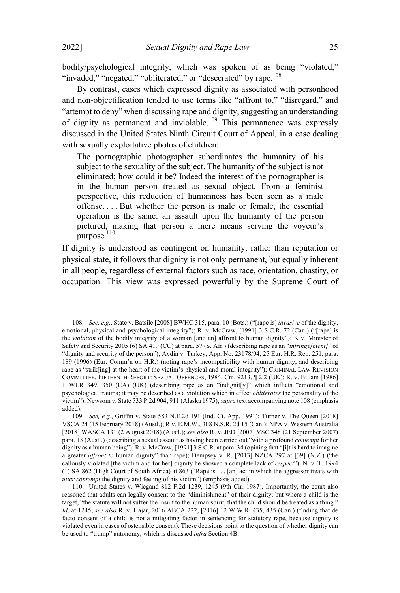bodily/psychological integrity, which was spoken of as being "violated," "invaded," "negated," "obliterated," or "desecrated" by rape. $108$ 

By contrast, cases which expressed dignity as associated with personhood and non-objectification tended to use terms like "affront to," "disregard," and "attempt to deny" when discussing rape and dignity, suggesting an understanding of dignity as permanent and inviolable.<sup>109</sup> This permanence was expressly discussed in the United States Ninth Circuit Court of Appeal*,* in a case dealing with sexually exploitative photos of children:

The pornographic photographer subordinates the humanity of his subject to the sexuality of the subject. The humanity of the subject is not eliminated; how could it be? Indeed the interest of the pornographer is in the human person treated as sexual object. From a feminist perspective, this reduction of humanness has been seen as a male offense. . . . But whether the person is male or female, the essential operation is the same: an assault upon the humanity of the person pictured, making that person a mere means serving the voyeur's purpose. $110$ 

If dignity is understood as contingent on humanity, rather than reputation or physical state, it follows that dignity is not only permanent, but equally inherent in all people, regardless of external factors such as race, orientation, chastity, or occupation. This view was expressed powerfully by the Supreme Court of

<sup>108</sup>*. See, e.g.*, State v. Batsile [2008] BWHC 315, para. 10 (Bots.) ("[rape is] *invasive* of the dignity, emotional, physical and psychological integrity"); R. v. McCraw, [1991] 3 S.C.R. 72 (Can.) ("[rape] is the *violation* of the bodily integrity of a woman [and an] affront to human dignity"); K v. Minister of Safety and Security 2005 (6) SA 419 (CC) at para. 57 (S. Afr.) (describing rape as an "*infringe[ment]*" of "dignity and security of the person"); Aydin v. Turkey, App. No. 23178/94, 25 Eur. H.R. Rep. 251, para. 189 (1996) (Eur. Comm'n on H.R.) (noting rape's incompatibility with human dignity, and describing rape as "strik[ing] at the heart of the victim's physical and moral integrity"); CRIMINAL LAW REVISION COMMITTEE, FIFTEENTH REPORT: SEXUAL OFFENCES, 1984, Cm. 9213, ¶ 2.2 (UK); R. v. Billam [1986] 1 WLR 349, 350 (CA) (UK) (describing rape as an "indignit[y]" which inflicts "emotional and psychological trauma; it may be described as a violation which in effect *obliterates* the personality of the victim"); Newsom v. State 533 P.2d 904, 911 (Alaska 1975);*supra* text accompanying note 108 (emphasis added).

<sup>109</sup>*. See, e.g.*, Griffin v. State 583 N.E.2d 191 (Ind. Ct. App. 1991); Turner v. The Queen [2018] VSCA 24 (15 February 2018) (Austl.); R v. E.M.W., 308 N.S.R. 2d 15 (Can.); NPA v. Western Australia [2018] WASCA 131 (2 August 2018) (Austl.); *see also* R. v. JED [2007] VSC 348 (21 September 2007) para. 13 (Austl.) (describing a sexual assault as having been carried out "with a profound *contempt* for her dignity as a human being"); R. v. McCraw, [1991] 3 S.C.R. at para. 34 (opining that "[i]t is hard to imagine a greater *affront to* human dignity" than rape); Dempsey v. R. [2013] NZCA 297 at [39] (N.Z.) ("he callously violated [the victim and for her] dignity he showed a complete lack of *respect*"); N. v. T. 1994 (1) SA 862 (High Court of South Africa) at 863 ("Rape is . . . [an] act in which the aggressor treats with *utter contempt* the dignity and feeling of his victim") (emphasis added).

<sup>110.</sup> United States v. Wiegand 812 F.2d 1239, 1245 (9th Cir. 1987). Importantly, the court also reasoned that adults can legally consent to the "diminishment" of their dignity; but where a child is the target, "the statute will not suffer the insult to the human spirit, that the child should be treated as a thing." *Id*. at 1245; *see also* R. v. Hajar, 2016 ABCA 222, [2016] 12 W.W.R. 435, 435 (Can.) (finding that de facto consent of a child is not a mitigating factor in sentencing for statutory rape, because dignity is violated even in cases of ostensible consent). These decisions point to the question of whether dignity can be used to "trump" autonomy, which is discussed *infra* Section 4B.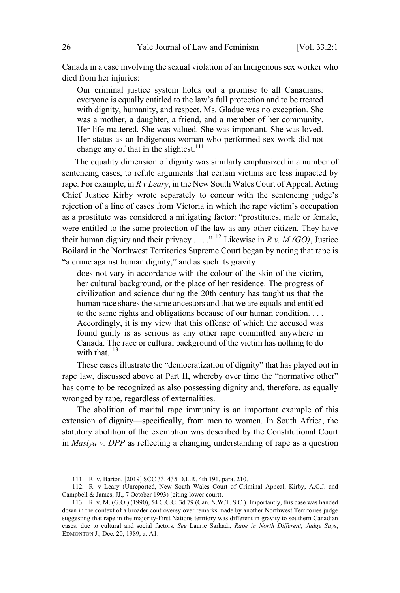Canada in a case involving the sexual violation of an Indigenous sex worker who died from her injuries:

Our criminal justice system holds out a promise to all Canadians: everyone is equally entitled to the law's full protection and to be treated with dignity, humanity, and respect. Ms. Gladue was no exception. She was a mother, a daughter, a friend, and a member of her community. Her life mattered. She was valued. She was important. She was loved. Her status as an Indigenous woman who performed sex work did not change any of that in the slightest.<sup>111</sup>

The equality dimension of dignity was similarly emphasized in a number of sentencing cases, to refute arguments that certain victims are less impacted by rape. For example, in *R v Leary*, in the New South Wales Court of Appeal, Acting Chief Justice Kirby wrote separately to concur with the sentencing judge's rejection of a line of cases from Victoria in which the rape victim's occupation as a prostitute was considered a mitigating factor: "prostitutes, male or female, were entitled to the same protection of the law as any other citizen. They have their human dignity and their privacy . . . .<sup>"112</sup> Likewise in *R v. M (GO)*, Justice Boilard in the Northwest Territories Supreme Court began by noting that rape is "a crime against human dignity," and as such its gravity

does not vary in accordance with the colour of the skin of the victim, her cultural background, or the place of her residence. The progress of civilization and science during the 20th century has taught us that the human race shares the same ancestors and that we are equals and entitled to the same rights and obligations because of our human condition. . . . Accordingly, it is my view that this offense of which the accused was found guilty is as serious as any other rape committed anywhere in Canada. The race or cultural background of the victim has nothing to do with that  $^{113}$ 

These cases illustrate the "democratization of dignity" that has played out in rape law, discussed above at Part II, whereby over time the "normative other" has come to be recognized as also possessing dignity and, therefore, as equally wronged by rape, regardless of externalities.

The abolition of marital rape immunity is an important example of this extension of dignity—specifically, from men to women. In South Africa, the statutory abolition of the exemption was described by the Constitutional Court in *Masiya v. DPP* as reflecting a changing understanding of rape as a question

<sup>111.</sup> R. v. Barton, [2019] SCC 33, 435 D.L.R. 4th 191, para. 210.

<sup>112</sup>*.* R. v Leary (Unreported, New South Wales Court of Criminal Appeal, Kirby, A.C.J. and Campbell & James, JJ., 7 October 1993) (citing lower court).

<sup>113.</sup> R. v. M. (G.O.) (1990), 54 C.C.C. 3d 79 (Can. N.W.T. S.C.). Importantly, this case was handed down in the context of a broader controversy over remarks made by another Northwest Territories judge suggesting that rape in the majority-First Nations territory was different in gravity to southern Canadian cases, due to cultural and social factors. *See* Laurie Sarkadi, *Rape in North Different, Judge Says*, EDMONTON J., Dec. 20, 1989, at A1.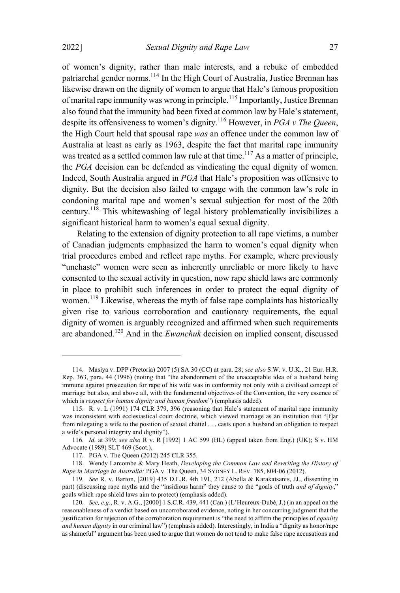of women's dignity, rather than male interests, and a rebuke of embedded patriarchal gender norms. <sup>114</sup> In the High Court of Australia, Justice Brennan has likewise drawn on the dignity of women to argue that Hale's famous proposition of marital rape immunity was wrong in principle.<sup>115</sup> Importantly, Justice Brennan also found that the immunity had been fixed at common law by Hale's statement, despite its offensiveness to women's dignity.<sup>116</sup> However, in *PGA <sup>v</sup> The Queen*, the High Court held that spousal rape *was* an offence under the common law of Australia at least as early as 1963, despite the fact that marital rape immunity was treated as a settled common law rule at that time.<sup>117</sup> As a matter of principle, the *PGA* decision can be defended as vindicating the equal dignity of women. Indeed, South Australia argued in *PGA* that Hale's proposition was offensive to dignity. But the decision also failed to engage with the common law's role in condoning marital rape and women's sexual subjection for most of the 20th century.<sup>118</sup> This whitewashing of legal history problematically invisibilizes a significant historical harm to women's equal sexual dignity.

Relating to the extension of dignity protection to all rape victims, a number of Canadian judgments emphasized the harm to women's equal dignity when trial procedures embed and reflect rape myths. For example, where previously "unchaste" women were seen as inherently unreliable or more likely to have consented to the sexual activity in question, now rape shield laws are commonly in place to prohibit such inferences in order to protect the equal dignity of women.<sup>119</sup> Likewise, whereas the myth of false rape complaints has historically given rise to various corroboration and cautionary requirements, the equal dignity of women is arguably recognized and affirmed when such requirements are abandoned.<sup>120</sup> And in the *Ewanchuk* decision on implied consent, discussed

<sup>114</sup>*.* Masiya v. DPP (Pretoria) 2007 (5) SA 30 (CC) at para. 28; *see also* S.W. v. U.K., 21 Eur. H.R. Rep. 363, para. 44 (1996) (noting that "the abandonment of the unacceptable idea of a husband being immune against prosecution for rape of his wife was in conformity not only with a civilised concept of marriage but also, and above all, with the fundamental objectives of the Convention, the very essence of which is *respect for human dignity and human freedom*") (emphasis added).

<sup>115</sup>*.* R. v. L (1991) 174 CLR 379, 396 (reasoning that Hale's statement of marital rape immunity was inconsistent with ecclesiastical court doctrine, which viewed marriage as an institution that "[f]ar from relegating a wife to the position of sexual chattel . . . casts upon a husband an obligation to respect a wife's personal integrity and dignity").

<sup>116</sup>*. Id.* at 399; *see also* R v. R [1992] 1 AC 599 (HL) (appeal taken from Eng.) (UK); S v. HM Advocate (1989) SLT 469 (Scot.).

<sup>117</sup>*.* PGA v. The Queen (2012) 245 CLR 355.

<sup>118.</sup> Wendy Larcombe & Mary Heath, *Developing the Common Law and Rewriting the History of Rape in Marriage in Australia:* PGA v. The Queen, 34 SYDNEY L. REV. 785, 804-06 (2012).

<sup>119</sup>*. See* R. v. Barton, [2019] 435 D.L.R. 4th 191, 212 (Abella & Karakatsanis, JJ., dissenting in part) (discussing rape myths and the "insidious harm" they cause to the "goals of truth *and of dignity*," goals which rape shield laws aim to protect) (emphasis added).

<sup>120</sup>*. See, e.g.*, R. v. A.G., [2000] 1 S.C.R. 439, 441 (Can.) (L'Heureux-Dubé, J.) (in an appeal on the reasonableness of a verdict based on uncorroborated evidence, noting in her concurring judgment that the justification for rejection of the corroboration requirement is "the need to affirm the principles of *equality and human dignity* in our criminal law") (emphasis added). Interestingly, in India a "dignity as honor/rape as shameful" argument has been used to argue that women do not tend to make false rape accusations and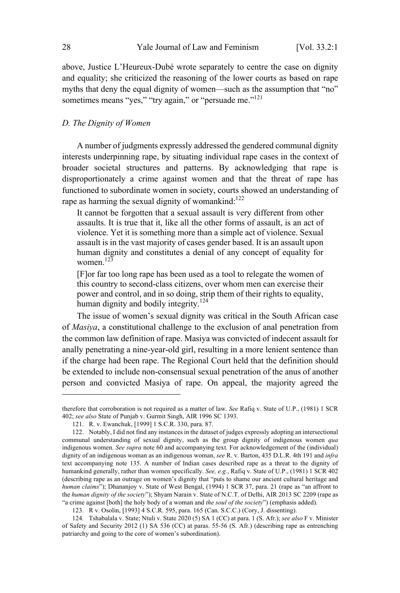above, Justice L'Heureux-Dubé wrote separately to centre the case on dignity and equality; she criticized the reasoning of the lower courts as based on rape myths that deny the equal dignity of women—such as the assumption that "no" sometimes means "yes," "try again," or "persuade me."<sup>121</sup>

### *D. The Dignity of Women*

A number of judgments expressly addressed the gendered communal dignity interests underpinning rape, by situating individual rape cases in the context of broader societal structures and patterns. By acknowledging that rape is disproportionately a crime against women and that the threat of rape has functioned to subordinate women in society, courts showed an understanding of rape as harming the sexual dignity of womankind: $122$ 

It cannot be forgotten that a sexual assault is very different from other assaults. It is true that it, like all the other forms of assault, is an act of violence. Yet it is something more than a simple act of violence. Sexual assault is in the vast majority of cases gender based. It is an assault upon human dignity and constitutes a denial of any concept of equality for women. 123

[F]or far too long rape has been used as a tool to relegate the women of this country to second-class citizens, over whom men can exercise their power and control, and in so doing, strip them of their rights to equality, human dignity and bodily integrity.<sup>124</sup>

The issue of women's sexual dignity was critical in the South African case of *Masiya*, a constitutional challenge to the exclusion of anal penetration from the common law definition of rape. Masiya was convicted of indecent assault for anally penetrating a nine-year-old girl, resulting in a more lenient sentence than if the charge had been rape. The Regional Court held that the definition should be extended to include non-consensual sexual penetration of the anus of another person and convicted Masiya of rape. On appeal, the majority agreed the

therefore that corroboration is not required as a matter of law. *See* Rafiq v. State of U.P., (1981) 1 SCR 402; *see also* State of Punjab v. Gurmit Singh, AIR 1996 SC 1393.

<sup>121.</sup> R. v. Ewanchuk, [1999] 1 S.C.R. 330, para. 87.

<sup>122.</sup> Notably, I did not find any instances in the dataset of judges expressly adopting an intersectional communal understanding of sexual dignity, such as the group dignity of indigenous women *qua* indigenous women. *See supra* note 60 and accompanying text. For acknowledgement of the (individual) dignity of an indigenous woman as an indigenous woman, *see* R. v. Barton, 435 D.L.R. 4th 191 and *infra* text accompanying note 135. A number of Indian cases described rape as a threat to the dignity of humankind generally, rather than women specifically. *See, e.g.*, Rafiq v. State of U.P., (1981) 1 SCR 402 (describing rape as an outrage on women's dignity that "puts to shame our ancient cultural heritage and *human claims*"); Dhananjoy v. State of West Bengal, (1994) 1 SCR 37, para. 21 (rape as "an affront to the *human dignity of the society*"); Shyam Narain v. State of N.C.T. of Delhi, AIR 2013 SC 2209 (rape as "a crime against [both] the holy body of a woman and *the soul of the society*") (emphasis added).

<sup>123.</sup> R v. Osolin, [1993] 4 S.C.R. 595, para. 165 (Can. S.C.C.) (Cory, J. dissenting).

<sup>124</sup>*.* Tshabalala v. State; Ntuli v. State 2020 (5) SA 1 (CC) at para. 1 (S. Afr.); *see also* F v. Minister of Safety and Security 2012 (1) SA 536 (CC) at paras. 55-56 (S. Afr.) (describing rape as entrenching patriarchy and going to the core of women's subordination).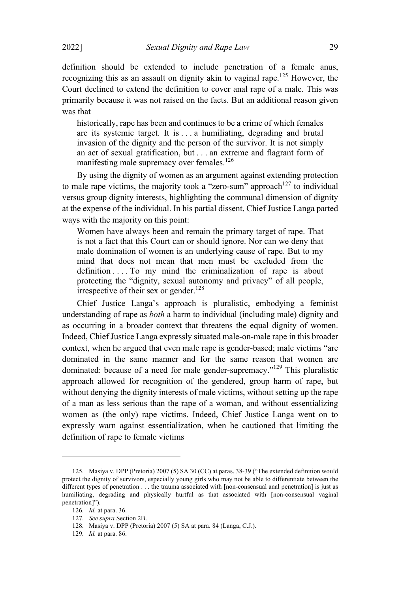definition should be extended to include penetration of a female anus, recognizing this as an assault on dignity akin to vaginal rape.<sup>125</sup> However, the Court declined to extend the definition to cover anal rape of a male. This was primarily because it was not raised on the facts. But an additional reason given was that

historically, rape has been and continues to be a crime of which females are its systemic target. It is . . . a humiliating, degrading and brutal invasion of the dignity and the person of the survivor. It is not simply an act of sexual gratification, but . . . an extreme and flagrant form of manifesting male supremacy over females.<sup>126</sup>

By using the dignity of women as an argument against extending protection to male rape victims, the majority took a "zero-sum" approach<sup>127</sup> to individual versus group dignity interests, highlighting the communal dimension of dignity at the expense of the individual. In his partial dissent, Chief Justice Langa parted ways with the majority on this point:

Women have always been and remain the primary target of rape. That is not a fact that this Court can or should ignore. Nor can we deny that male domination of women is an underlying cause of rape. But to my mind that does not mean that men must be excluded from the definition . . . . To my mind the criminalization of rape is about protecting the "dignity, sexual autonomy and privacy" of all people, irrespective of their sex or gender.<sup>128</sup>

Chief Justice Langa's approach is pluralistic, embodying a feminist understanding of rape as *both* a harm to individual (including male) dignity and as occurring in a broader context that threatens the equal dignity of women. Indeed, Chief Justice Langa expressly situated male-on-male rape in this broader context, when he argued that even male rape is gender-based; male victims "are dominated in the same manner and for the same reason that women are dominated: because of a need for male gender-supremacy."<sup>129</sup> This pluralistic approach allowed for recognition of the gendered, group harm of rape, but without denying the dignity interests of male victims, without setting up the rape of a man as less serious than the rape of a woman, and without essentializing women as (the only) rape victims. Indeed, Chief Justice Langa went on to expressly warn against essentialization, when he cautioned that limiting the definition of rape to female victims

<sup>125</sup>*.* Masiya v. DPP (Pretoria) 2007 (5) SA 30 (CC) at paras. 38-39 ("The extended definition would protect the dignity of survivors, especially young girls who may not be able to differentiate between the different types of penetration . . . the trauma associated with [non-consensual anal penetration] is just as humiliating, degrading and physically hurtful as that associated with [non-consensual vaginal penetration]").

<sup>126</sup>*. Id.* at para. 36.

<sup>127</sup>*. See supra* Section 2B.

<sup>128</sup>*.* Masiya v. DPP (Pretoria) 2007 (5) SA at para. 84 (Langa, C.J.).

<sup>129</sup>*. Id.* at para. 86.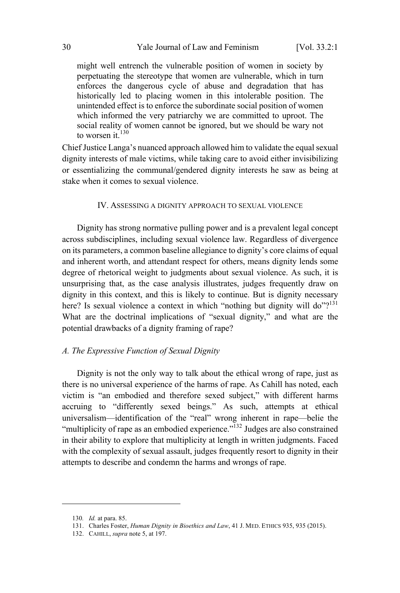might well entrench the vulnerable position of women in society by perpetuating the stereotype that women are vulnerable, which in turn enforces the dangerous cycle of abuse and degradation that has historically led to placing women in this intolerable position. The unintended effect is to enforce the subordinate social position of women which informed the very patriarchy we are committed to uproot. The social reality of women cannot be ignored, but we should be wary not to worsen  $\mathbf{i}t^{130}$ 

Chief Justice Langa's nuanced approach allowed him to validate the equal sexual dignity interests of male victims, while taking care to avoid either invisibilizing or essentializing the communal/gendered dignity interests he saw as being at stake when it comes to sexual violence.

#### IV. ASSESSING A DIGNITY APPROACH TO SEXUAL VIOLENCE

Dignity has strong normative pulling power and is a prevalent legal concept across subdisciplines, including sexual violence law. Regardless of divergence on its parameters, a common baseline allegiance to dignity's core claims of equal and inherent worth, and attendant respect for others, means dignity lends some degree of rhetorical weight to judgments about sexual violence. As such, it is unsurprising that, as the case analysis illustrates, judges frequently draw on dignity in this context, and this is likely to continue. But is dignity necessary here? Is sexual violence a context in which "nothing but dignity will  $do$ "?<sup>131</sup> What are the doctrinal implications of "sexual dignity," and what are the potential drawbacks of a dignity framing of rape?

#### *A. The Expressive Function of Sexual Dignity*

Dignity is not the only way to talk about the ethical wrong of rape, just as there is no universal experience of the harms of rape. As Cahill has noted, each victim is "an embodied and therefore sexed subject," with different harms accruing to "differently sexed beings." As such, attempts at ethical universalism—identification of the "real" wrong inherent in rape—belie the "multiplicity of rape as an embodied experience."<sup>132</sup> Judges are also constrained in their ability to explore that multiplicity at length in written judgments. Faced with the complexity of sexual assault, judges frequently resort to dignity in their attempts to describe and condemn the harms and wrongs of rape.

<sup>130</sup>*. Id.* at para. 85.

<sup>131.</sup> Charles Foster, *Human Dignity in Bioethics and Law*, 41 J. MED. ETHICS 935, 935 (2015).

<sup>132.</sup> CAHILL, *supra* note 5, at 197.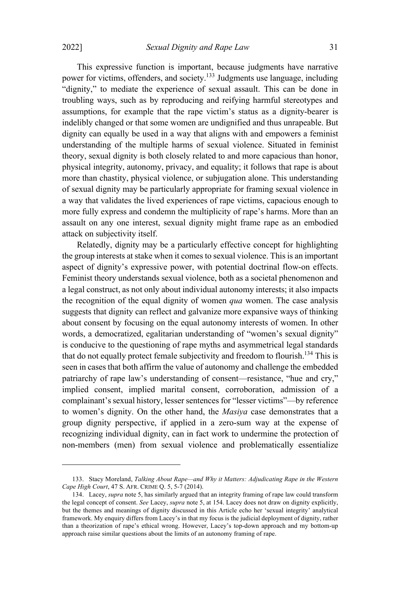This expressive function is important, because judgments have narrative power for victims, offenders, and society.<sup>133</sup> Judgments use language, including "dignity," to mediate the experience of sexual assault. This can be done in troubling ways, such as by reproducing and reifying harmful stereotypes and assumptions, for example that the rape victim's status as a dignity-bearer is indelibly changed or that some women are undignified and thus unrapeable. But dignity can equally be used in a way that aligns with and empowers a feminist understanding of the multiple harms of sexual violence. Situated in feminist theory, sexual dignity is both closely related to and more capacious than honor, physical integrity, autonomy, privacy, and equality; it follows that rape is about more than chastity, physical violence, or subjugation alone. This understanding of sexual dignity may be particularly appropriate for framing sexual violence in a way that validates the lived experiences of rape victims, capacious enough to more fully express and condemn the multiplicity of rape's harms. More than an assault on any one interest, sexual dignity might frame rape as an embodied attack on subjectivity itself.

Relatedly, dignity may be a particularly effective concept for highlighting the group interests at stake when it comes to sexual violence. This is an important aspect of dignity's expressive power, with potential doctrinal flow-on effects. Feminist theory understands sexual violence, both as a societal phenomenon and a legal construct, as not only about individual autonomy interests; it also impacts the recognition of the equal dignity of women *qua* women. The case analysis suggests that dignity can reflect and galvanize more expansive ways of thinking about consent by focusing on the equal autonomy interests of women. In other words, a democratized, egalitarian understanding of "women's sexual dignity" is conducive to the questioning of rape myths and asymmetrical legal standards that do not equally protect female subjectivity and freedom to flourish.<sup>134</sup> This is seen in cases that both affirm the value of autonomy and challenge the embedded patriarchy of rape law's understanding of consent—resistance, "hue and cry," implied consent, implied marital consent, corroboration, admission of a complainant's sexual history, lesser sentences for "lesser victims"—by reference to women's dignity. On the other hand, the *Masiya* case demonstrates that a group dignity perspective, if applied in a zero-sum way at the expense of recognizing individual dignity, can in fact work to undermine the protection of non-members (men) from sexual violence and problematically essentialize

<sup>133.</sup> Stacy Moreland, *Talking About Rape—and Why it Matters: Adjudicating Rape in the Western Cape High Court*, 47 S. AFR. CRIME Q. 5, 5-7 (2014).

<sup>134.</sup> Lacey, *supra* note 5, has similarly argued that an integrity framing of rape law could transform the legal concept of consent. *See* Lacey, *supra* note 5, at 154. Lacey does not draw on dignity explicitly, but the themes and meanings of dignity discussed in this Article echo her 'sexual integrity' analytical framework. My enquiry differs from Lacey's in that my focus is the judicial deployment of dignity, rather than a theorization of rape's ethical wrong. However, Lacey's top-down approach and my bottom-up approach raise similar questions about the limits of an autonomy framing of rape.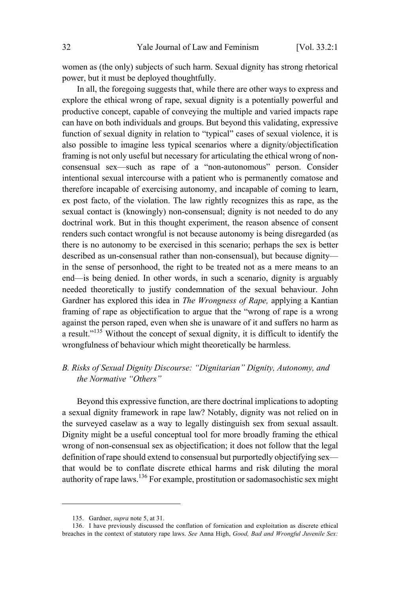women as (the only) subjects of such harm. Sexual dignity has strong rhetorical power, but it must be deployed thoughtfully.

In all, the foregoing suggests that, while there are other ways to express and explore the ethical wrong of rape, sexual dignity is a potentially powerful and productive concept, capable of conveying the multiple and varied impacts rape can have on both individuals and groups. But beyond this validating, expressive function of sexual dignity in relation to "typical" cases of sexual violence, it is also possible to imagine less typical scenarios where a dignity/objectification framing is not only useful but necessary for articulating the ethical wrong of nonconsensual sex—such as rape of a "non-autonomous" person. Consider intentional sexual intercourse with a patient who is permanently comatose and therefore incapable of exercising autonomy, and incapable of coming to learn, ex post facto, of the violation. The law rightly recognizes this as rape, as the sexual contact is (knowingly) non-consensual; dignity is not needed to do any doctrinal work. But in this thought experiment, the reason absence of consent renders such contact wrongful is not because autonomy is being disregarded (as there is no autonomy to be exercised in this scenario; perhaps the sex is better described as un-consensual rather than non-consensual), but because dignity in the sense of personhood, the right to be treated not as a mere means to an end—is being denied. In other words, in such a scenario, dignity is arguably needed theoretically to justify condemnation of the sexual behaviour. John Gardner has explored this idea in *The Wrongness of Rape,* applying a Kantian framing of rape as objectification to argue that the "wrong of rape is a wrong against the person raped, even when she is unaware of it and suffers no harm as a result."<sup>135</sup> Without the concept of sexual dignity, it is difficult to identify the wrongfulness of behaviour which might theoretically be harmless.

# *B. Risks of Sexual Dignity Discourse: "Dignitarian" Dignity, Autonomy, and the Normative "Others"*

Beyond this expressive function, are there doctrinal implications to adopting a sexual dignity framework in rape law? Notably, dignity was not relied on in the surveyed caselaw as a way to legally distinguish sex from sexual assault. Dignity might be a useful conceptual tool for more broadly framing the ethical wrong of non-consensual sex as objectification; it does not follow that the legal definition of rape should extend to consensual but purportedly objectifying sex that would be to conflate discrete ethical harms and risk diluting the moral authority of rape laws.<sup>136</sup> For example, prostitution or sadomasochistic sex might

<sup>135.</sup> Gardner, *supra* note 5, at 31.

<sup>136.</sup> I have previously discussed the conflation of fornication and exploitation as discrete ethical breaches in the context of statutory rape laws. *See* Anna High, *Good, Bad and Wrongful Juvenile Sex:*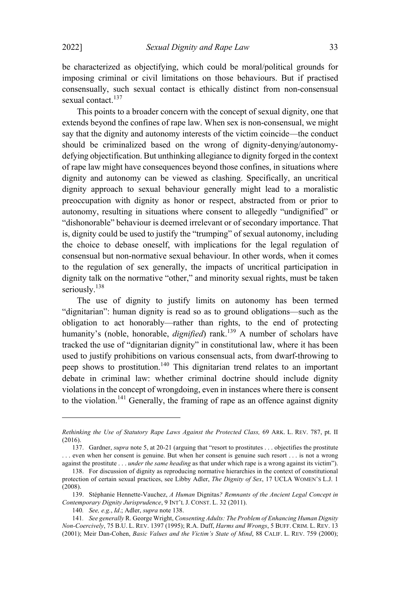be characterized as objectifying, which could be moral/political grounds for imposing criminal or civil limitations on those behaviours. But if practised consensually, such sexual contact is ethically distinct from non-consensual sexual contact.<sup>137</sup>

This points to a broader concern with the concept of sexual dignity, one that extends beyond the confines of rape law. When sex is non-consensual, we might say that the dignity and autonomy interests of the victim coincide—the conduct should be criminalized based on the wrong of dignity-denying/autonomydefying objectification. But unthinking allegiance to dignity forged in the context of rape law might have consequences beyond those confines, in situations where dignity and autonomy can be viewed as clashing. Specifically, an uncritical dignity approach to sexual behaviour generally might lead to a moralistic preoccupation with dignity as honor or respect, abstracted from or prior to autonomy, resulting in situations where consent to allegedly "undignified" or "dishonorable" behaviour is deemed irrelevant or of secondary importance. That is, dignity could be used to justify the "trumping" of sexual autonomy, including the choice to debase oneself, with implications for the legal regulation of consensual but non-normative sexual behaviour. In other words, when it comes to the regulation of sex generally, the impacts of uncritical participation in dignity talk on the normative "other," and minority sexual rights, must be taken seriously.<sup>138</sup>

The use of dignity to justify limits on autonomy has been termed "dignitarian": human dignity is read so as to ground obligations—such as the obligation to act honorably—rather than rights, to the end of protecting humanity's (noble, honorable, *dignified*) rank.<sup>139</sup> A number of scholars have tracked the use of "dignitarian dignity" in constitutional law, where it has been used to justify prohibitions on various consensual acts, from dwarf-throwing to peep shows to prostitution.<sup>140</sup> This dignitarian trend relates to an important debate in criminal law: whether criminal doctrine should include dignity violations in the concept of wrongdoing, even in instances where there is consent to the violation.<sup>141</sup> Generally, the framing of rape as an offence against dignity

*Rethinking the Use of Statutory Rape Laws Against the Protected Class,* 69 ARK. L. REV. 787, pt. II (2016).

<sup>137.</sup> Gardner, *supra* note 5, at 20-21 (arguing that "resort to prostitutes . . . objectifies the prostitute . . . even when her consent is genuine. But when her consent is genuine such resort . . . is not a wrong against the prostitute . . . *under the same heading* as that under which rape is a wrong against its victim").

<sup>138.</sup> For discussion of dignity as reproducing normative hierarchies in the context of constitutional protection of certain sexual practices, see Libby Adler, *The Dignity of Sex*, 17 UCLA WOMEN'<sup>S</sup> L.J. 1 (2008).

<sup>139.</sup> Stéphanie Hennette-Vauchez, *A Human* Dignitas*? Remnants of the Ancient Legal Concept in Contemporary Dignity Jurisprudence*, 9 INT'<sup>L</sup> J. CONST. L. 32 (2011).

<sup>140</sup>*. See, e.g.*, *Id*.; Adler, *supra* note 138.

<sup>141</sup>*. See generally* R. George Wright, *Consenting Adults: The Problem of Enhancing Human Dignity Non-Coercively*, 75 B.U. L. REV. 1397 (1995); R.A. Duff, *Harms and Wrongs*, 5 BUFF. CRIM. L. REV. 13 (2001); Meir Dan-Cohen, *Basic Values and the Victim's State of Mind*, 88 CALIF. L. REV. 759 (2000);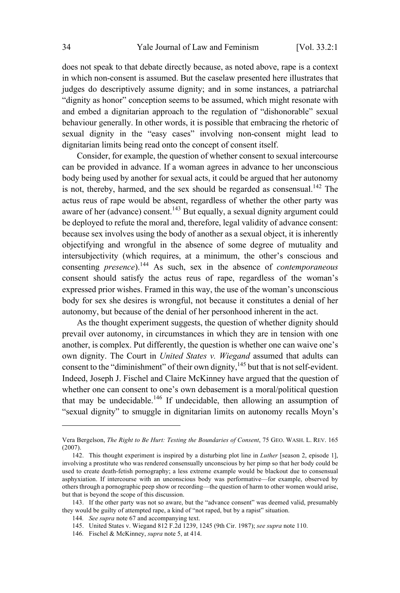does not speak to that debate directly because, as noted above, rape is a context in which non-consent is assumed. But the caselaw presented here illustrates that judges do descriptively assume dignity; and in some instances, a patriarchal "dignity as honor" conception seems to be assumed, which might resonate with and embed a dignitarian approach to the regulation of "dishonorable" sexual behaviour generally. In other words, it is possible that embracing the rhetoric of sexual dignity in the "easy cases" involving non-consent might lead to dignitarian limits being read onto the concept of consent itself.

Consider, for example, the question of whether consent to sexual intercourse can be provided in advance. If a woman agrees in advance to her unconscious body being used by another for sexual acts, it could be argued that her autonomy is not, thereby, harmed, and the sex should be regarded as consensual.<sup>142</sup> The actus reus of rape would be absent, regardless of whether the other party was aware of her (advance) consent.<sup>143</sup> But equally, a sexual dignity argument could be deployed to refute the moral and, therefore, legal validity of advance consent: because sex involves using the body of another as a sexual object, it is inherently objectifying and wrongful in the absence of some degree of mutuality and intersubjectivity (which requires, at a minimum, the other's conscious and consenting *presence*).<sup>144</sup> As such, sex in the absence of *contemporaneous* consent should satisfy the actus reus of rape, regardless of the woman's expressed prior wishes. Framed in this way, the use of the woman's unconscious body for sex she desires is wrongful, not because it constitutes a denial of her autonomy, but because of the denial of her personhood inherent in the act.

As the thought experiment suggests, the question of whether dignity should prevail over autonomy, in circumstances in which they are in tension with one another, is complex. Put differently, the question is whether one can waive one's own dignity. The Court in *United States v. Wiegand* assumed that adults can consent to the "diminishment" of their own dignity, $145$  but that is not self-evident. Indeed, Joseph J. Fischel and Claire McKinney have argued that the question of whether one can consent to one's own debasement is a moral/political question that may be undecidable.<sup>146</sup> If undecidable, then allowing an assumption of "sexual dignity" to smuggle in dignitarian limits on autonomy recalls Moyn's

Vera Bergelson, *The Right to Be Hurt: Testing the Boundaries of Consent*, 75 GEO. WASH. L. REV. 165 (2007).

<sup>142.</sup> This thought experiment is inspired by a disturbing plot line in *Luther* [season 2, episode 1], involving a prostitute who was rendered consensually unconscious by her pimp so that her body could be used to create death-fetish pornography; a less extreme example would be blackout due to consensual asphyxiation. If intercourse with an unconscious body was performative—for example, observed by others through a pornographic peep show or recording—the question of harm to other women would arise, but that is beyond the scope of this discussion.

<sup>143.</sup> If the other party was not so aware, but the "advance consent" was deemed valid, presumably they would be guilty of attempted rape, a kind of "not raped, but by a rapist" situation.

<sup>144</sup>*. See supra* note 67 and accompanying text.

<sup>145.</sup> United States v. Wiegand 812 F.2d 1239, 1245 (9th Cir. 1987); *see supra* note 110.

<sup>146</sup>*.* Fischel & McKinney, *supra* note 5, at 414.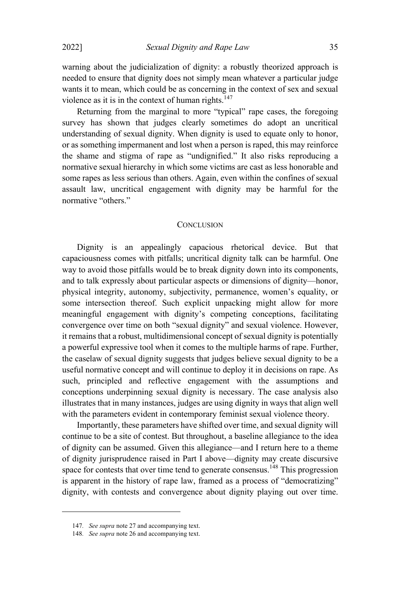warning about the judicialization of dignity: a robustly theorized approach is needed to ensure that dignity does not simply mean whatever a particular judge wants it to mean, which could be as concerning in the context of sex and sexual violence as it is in the context of human rights. $147$ 

Returning from the marginal to more "typical" rape cases, the foregoing survey has shown that judges clearly sometimes do adopt an uncritical understanding of sexual dignity. When dignity is used to equate only to honor, or as something impermanent and lost when a person is raped, this may reinforce the shame and stigma of rape as "undignified." It also risks reproducing a normative sexual hierarchy in which some victims are cast as less honorable and some rapes as less serious than others. Again, even within the confines of sexual assault law, uncritical engagement with dignity may be harmful for the normative "others."

#### **CONCLUSION**

Dignity is an appealingly capacious rhetorical device. But that capaciousness comes with pitfalls; uncritical dignity talk can be harmful. One way to avoid those pitfalls would be to break dignity down into its components, and to talk expressly about particular aspects or dimensions of dignity—honor, physical integrity, autonomy, subjectivity, permanence, women's equality, or some intersection thereof. Such explicit unpacking might allow for more meaningful engagement with dignity's competing conceptions, facilitating convergence over time on both "sexual dignity" and sexual violence. However, it remains that a robust, multidimensional concept of sexual dignity is potentially a powerful expressive tool when it comes to the multiple harms of rape. Further, the caselaw of sexual dignity suggests that judges believe sexual dignity to be a useful normative concept and will continue to deploy it in decisions on rape. As such, principled and reflective engagement with the assumptions and conceptions underpinning sexual dignity is necessary. The case analysis also illustrates that in many instances, judges are using dignity in ways that align well with the parameters evident in contemporary feminist sexual violence theory.

Importantly, these parameters have shifted over time, and sexual dignity will continue to be a site of contest. But throughout, a baseline allegiance to the idea of dignity can be assumed. Given this allegiance—and I return here to a theme of dignity jurisprudence raised in Part I above—dignity may create discursive space for contests that over time tend to generate consensus.<sup>148</sup> This progression is apparent in the history of rape law, framed as a process of "democratizing" dignity, with contests and convergence about dignity playing out over time.

<sup>147</sup>*. See supra* note 27 and accompanying text.

<sup>148</sup>*. See supra* note 26 and accompanying text.